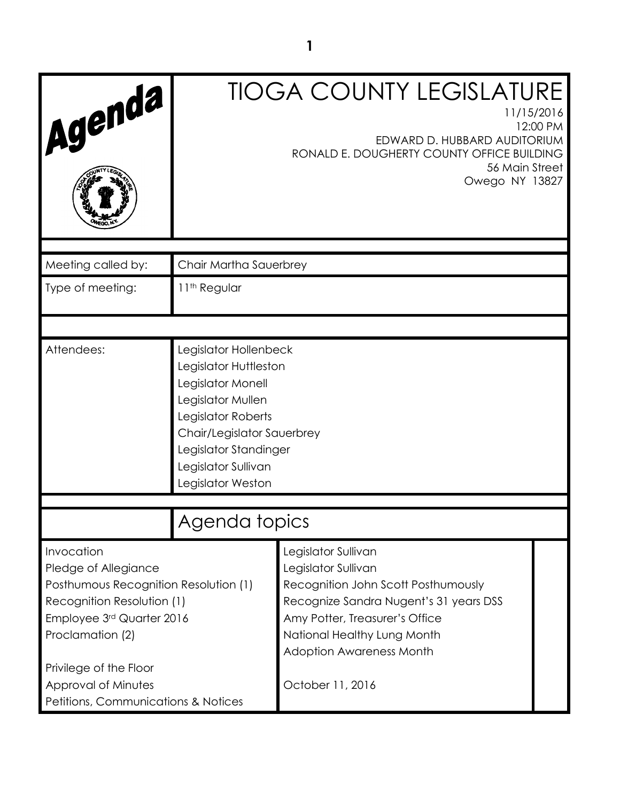| Agenda                                        |                                                                                                                                                                                                                   | <b>TIOGA COUNTY LEGISLATURE</b><br>11/15/2016<br>12:00 PM     |  |
|-----------------------------------------------|-------------------------------------------------------------------------------------------------------------------------------------------------------------------------------------------------------------------|---------------------------------------------------------------|--|
|                                               | EDWARD D. HUBBARD AUDITORIUM<br>RONALD E. DOUGHERTY COUNTY OFFICE BUILDING<br>56 Main Street<br>Owego NY 13827                                                                                                    |                                                               |  |
|                                               |                                                                                                                                                                                                                   |                                                               |  |
| Meeting called by:                            | Chair Martha Sauerbrey                                                                                                                                                                                            |                                                               |  |
| Type of meeting:                              | 11 <sup>th</sup> Regular                                                                                                                                                                                          |                                                               |  |
|                                               |                                                                                                                                                                                                                   |                                                               |  |
| Attendees:                                    | Legislator Hollenbeck<br>Legislator Huttleston<br>Legislator Monell<br>Legislator Mullen<br>Legislator Roberts<br>Chair/Legislator Sauerbrey<br>Legislator Standinger<br>Legislator Sullivan<br>Legislator Weston |                                                               |  |
|                                               |                                                                                                                                                                                                                   |                                                               |  |
|                                               | Agenda topics                                                                                                                                                                                                     |                                                               |  |
| Invocation<br>Pledge of Allegiance            |                                                                                                                                                                                                                   | Legislator Sullivan<br>Legislator Sullivan                    |  |
| Posthumous Recognition Resolution (1)         |                                                                                                                                                                                                                   | Recognition John Scott Posthumously                           |  |
| Recognition Resolution (1)                    |                                                                                                                                                                                                                   | Recognize Sandra Nugent's 31 years DSS                        |  |
| Employee 3rd Quarter 2016<br>Proclamation (2) |                                                                                                                                                                                                                   | Amy Potter, Treasurer's Office<br>National Healthy Lung Month |  |
|                                               |                                                                                                                                                                                                                   | <b>Adoption Awareness Month</b>                               |  |
| Privilege of the Floor                        |                                                                                                                                                                                                                   |                                                               |  |
| Approval of Minutes                           |                                                                                                                                                                                                                   | October 11, 2016                                              |  |
| Petitions, Communications & Notices           |                                                                                                                                                                                                                   |                                                               |  |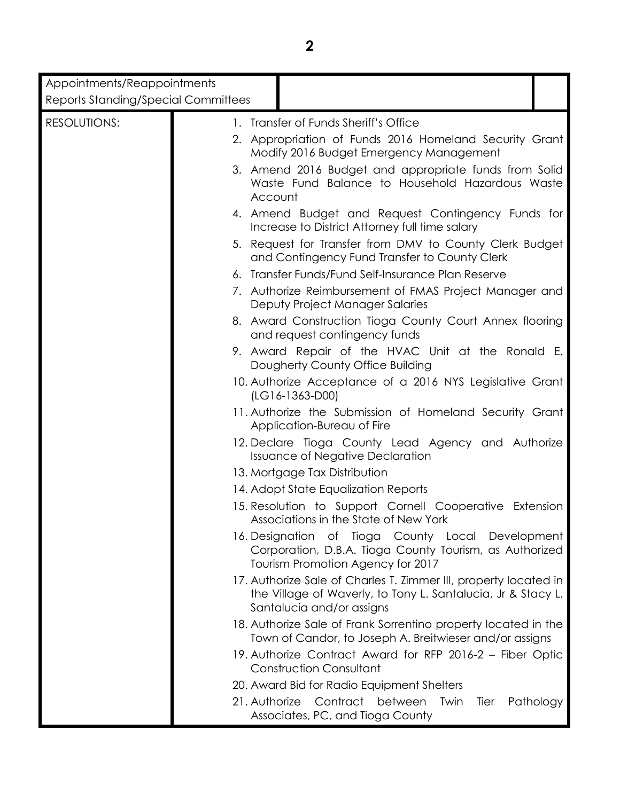| Appointments/Reappointments                |               |                                                                                                                                                               |
|--------------------------------------------|---------------|---------------------------------------------------------------------------------------------------------------------------------------------------------------|
| <b>Reports Standing/Special Committees</b> |               |                                                                                                                                                               |
| <b>RESOLUTIONS:</b>                        |               | 1. Transfer of Funds Sheriff's Office                                                                                                                         |
|                                            |               | 2. Appropriation of Funds 2016 Homeland Security Grant<br>Modify 2016 Budget Emergency Management                                                             |
|                                            | Account       | 3. Amend 2016 Budget and appropriate funds from Solid<br>Waste Fund Balance to Household Hazardous Waste                                                      |
|                                            |               | 4. Amend Budget and Request Contingency Funds for<br>Increase to District Attorney full time salary                                                           |
|                                            |               | 5. Request for Transfer from DMV to County Clerk Budget<br>and Contingency Fund Transfer to County Clerk                                                      |
|                                            |               | 6. Transfer Funds/Fund Self-Insurance Plan Reserve                                                                                                            |
|                                            |               | 7. Authorize Reimbursement of FMAS Project Manager and<br>Deputy Project Manager Salaries                                                                     |
|                                            |               | 8. Award Construction Tioga County Court Annex flooring<br>and request contingency funds                                                                      |
|                                            |               | 9. Award Repair of the HVAC Unit at the Ronald E.<br>Dougherty County Office Building                                                                         |
|                                            |               | 10. Authorize Acceptance of a 2016 NYS Legislative Grant<br>$(LG16-1363-D00)$                                                                                 |
|                                            |               | 11. Authorize the Submission of Homeland Security Grant<br>Application-Bureau of Fire                                                                         |
|                                            |               | 12. Declare Tioga County Lead Agency and Authorize<br><b>Issuance of Negative Declaration</b>                                                                 |
|                                            |               | 13. Mortgage Tax Distribution                                                                                                                                 |
|                                            |               | 14. Adopt State Equalization Reports                                                                                                                          |
|                                            |               | 15. Resolution to Support Cornell Cooperative Extension<br>Associations in the State of New York                                                              |
|                                            |               | 16. Designation of Tioga County Local Development<br>Corporation, D.B.A. Tioga County Tourism, as Authorized<br>Tourism Promotion Agency for 2017             |
|                                            |               | 17. Authorize Sale of Charles T. Zimmer III, property located in<br>the Village of Waverly, to Tony L. Santalucia, Jr & Stacy L.<br>Santalucia and/or assigns |
|                                            |               | 18. Authorize Sale of Frank Sorrentino property located in the<br>Town of Candor, to Joseph A. Breitwieser and/or assigns                                     |
|                                            |               | 19. Authorize Contract Award for RFP 2016-2 - Fiber Optic<br><b>Construction Consultant</b>                                                                   |
|                                            |               | 20. Award Bid for Radio Equipment Shelters                                                                                                                    |
|                                            | 21. Authorize | Contract between<br>Twin<br>Pathology<br>Tier<br>Associates, PC, and Tioga County                                                                             |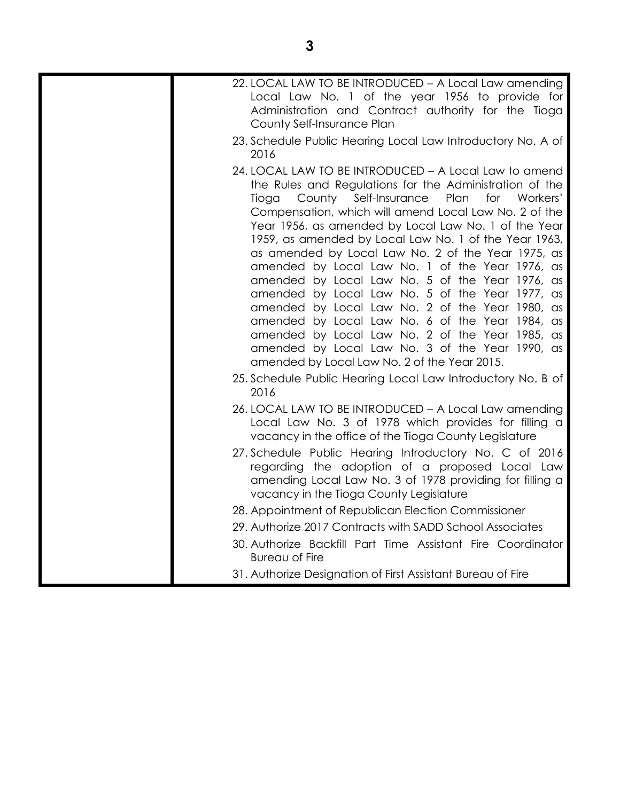| 22. LOCAL LAW TO BE INTRODUCED - A Local Law amending<br>Local Law No. 1 of the year 1956 to provide for<br>Administration and Contract authority for the Tioga<br>County Self-Insurance Plan                                                                                                                                                                                                                                                                                                                                                                                                                                                                                                                                                                                                                                      |
|------------------------------------------------------------------------------------------------------------------------------------------------------------------------------------------------------------------------------------------------------------------------------------------------------------------------------------------------------------------------------------------------------------------------------------------------------------------------------------------------------------------------------------------------------------------------------------------------------------------------------------------------------------------------------------------------------------------------------------------------------------------------------------------------------------------------------------|
| 23. Schedule Public Hearing Local Law Introductory No. A of<br>2016                                                                                                                                                                                                                                                                                                                                                                                                                                                                                                                                                                                                                                                                                                                                                                |
| 24. LOCAL LAW TO BE INTRODUCED - A Local Law to amend<br>the Rules and Regulations for the Administration of the<br>Plan<br>County<br>Self-Insurance<br>for Workers'<br>Tioga<br>Compensation, which will amend Local Law No. 2 of the<br>Year 1956, as amended by Local Law No. 1 of the Year<br>1959, as amended by Local Law No. 1 of the Year 1963,<br>as amended by Local Law No. 2 of the Year 1975, as<br>amended by Local Law No. 1 of the Year 1976, as<br>amended by Local Law No. 5 of the Year 1976, as<br>amended by Local Law No. 5 of the Year 1977, as<br>amended by Local Law No. 2 of the Year 1980, as<br>amended by Local Law No. 6 of the Year 1984, as<br>amended by Local Law No. 2 of the Year 1985, as<br>amended by Local Law No. 3 of the Year 1990, as<br>amended by Local Law No. 2 of the Year 2015. |
| 25. Schedule Public Hearing Local Law Introductory No. B of<br>2016                                                                                                                                                                                                                                                                                                                                                                                                                                                                                                                                                                                                                                                                                                                                                                |
| 26. LOCAL LAW TO BE INTRODUCED - A Local Law amending<br>Local Law No. 3 of 1978 which provides for filling a<br>vacancy in the office of the Tioga County Legislature                                                                                                                                                                                                                                                                                                                                                                                                                                                                                                                                                                                                                                                             |
| 27. Schedule Public Hearing Introductory No. C of 2016<br>regarding the adoption of a proposed Local Law<br>amending Local Law No. 3 of 1978 providing for filling a<br>vacancy in the Tioga County Legislature                                                                                                                                                                                                                                                                                                                                                                                                                                                                                                                                                                                                                    |
| 28. Appointment of Republican Election Commissioner                                                                                                                                                                                                                                                                                                                                                                                                                                                                                                                                                                                                                                                                                                                                                                                |
| 29. Authorize 2017 Contracts with SADD School Associates                                                                                                                                                                                                                                                                                                                                                                                                                                                                                                                                                                                                                                                                                                                                                                           |
| 30. Authorize Backfill Part Time Assistant Fire Coordinator<br><b>Bureau of Fire</b>                                                                                                                                                                                                                                                                                                                                                                                                                                                                                                                                                                                                                                                                                                                                               |
| 31. Authorize Designation of First Assistant Bureau of Fire                                                                                                                                                                                                                                                                                                                                                                                                                                                                                                                                                                                                                                                                                                                                                                        |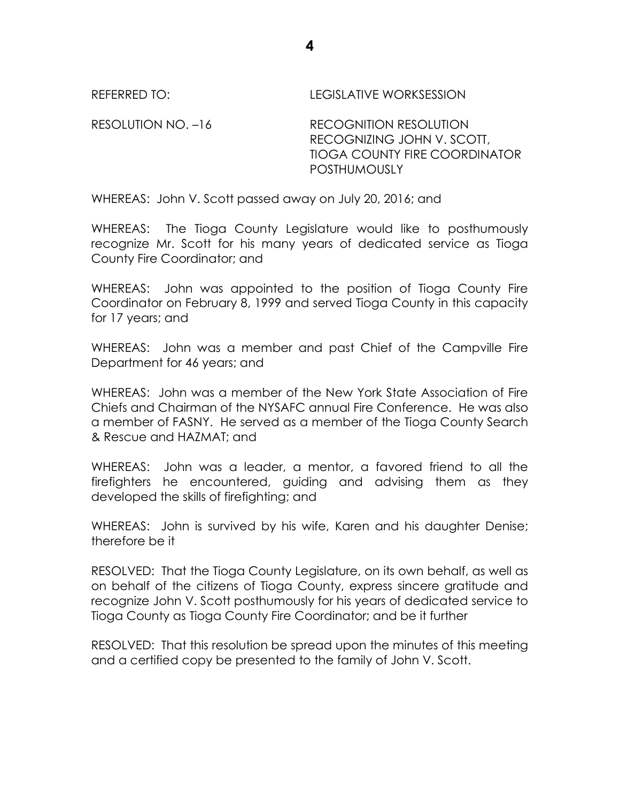REFERRED TO: LEGISLATIVE WORKSESSION

RESOLUTION NO. –16 RECOGNITION RESOLUTION RECOGNIZING JOHN V. SCOTT, TIOGA COUNTY FIRE COORDINATOR POSTHUMOUSLY

WHEREAS: John V. Scott passed away on July 20, 2016; and

WHEREAS: The Tioga County Legislature would like to posthumously recognize Mr. Scott for his many years of dedicated service as Tioga County Fire Coordinator; and

WHEREAS: John was appointed to the position of Tioga County Fire Coordinator on February 8, 1999 and served Tioga County in this capacity for 17 years; and

WHEREAS: John was a member and past Chief of the Campville Fire Department for 46 years; and

WHEREAS: John was a member of the New York State Association of Fire Chiefs and Chairman of the NYSAFC annual Fire Conference. He was also a member of FASNY. He served as a member of the Tioga County Search & Rescue and HAZMAT; and

WHEREAS: John was a leader, a mentor, a favored friend to all the firefighters he encountered, guiding and advising them as they developed the skills of firefighting; and

WHEREAS: John is survived by his wife, Karen and his daughter Denise; therefore be it

RESOLVED: That the Tioga County Legislature, on its own behalf, as well as on behalf of the citizens of Tioga County, express sincere gratitude and recognize John V. Scott posthumously for his years of dedicated service to Tioga County as Tioga County Fire Coordinator; and be it further

RESOLVED: That this resolution be spread upon the minutes of this meeting and a certified copy be presented to the family of John V. Scott.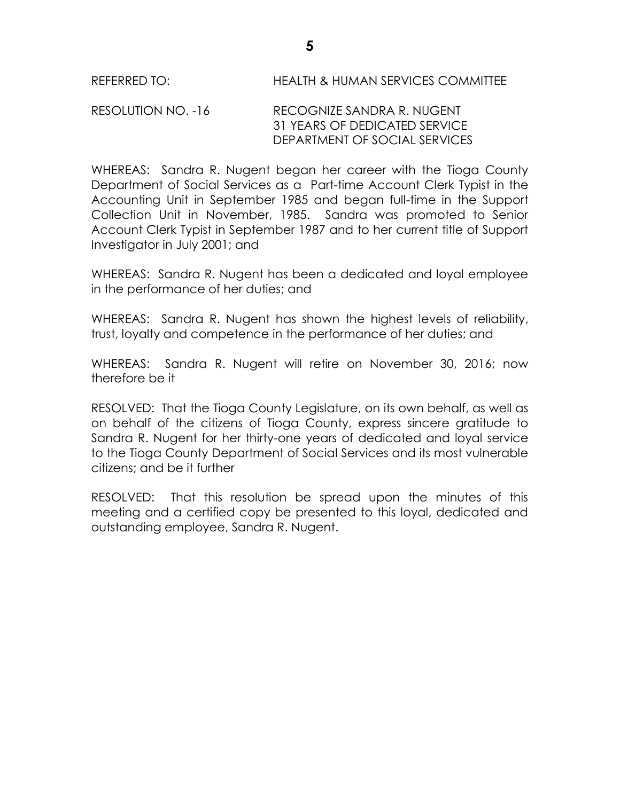### RESOLUTION NO. -16 RECOGNIZE SANDRA R. NUGENT 31 YEARS OF DEDICATED SERVICE DEPARTMENT OF SOCIAL SERVICES

WHEREAS: Sandra R. Nugent began her career with the Tioga County Department of Social Services as a Part-time Account Clerk Typist in the Accounting Unit in September 1985 and began full-time in the Support Collection Unit in November, 1985. Sandra was promoted to Senior Account Clerk Typist in September 1987 and to her current title of Support Investigator in July 2001; and

WHEREAS: Sandra R. Nugent has been a dedicated and loyal employee in the performance of her duties; and

WHEREAS: Sandra R. Nugent has shown the highest levels of reliability, trust, loyalty and competence in the performance of her duties; and

WHEREAS: Sandra R. Nugent will retire on November 30, 2016; now therefore be it

RESOLVED:That the Tioga County Legislature, on its own behalf, as well as on behalf of the citizens of Tioga County, express sincere gratitude to Sandra R. Nugent for her thirty-one years of dedicated and loyal service to the Tioga County Department of Social Services and its most vulnerable citizens; and be it further

RESOLVED: That this resolution be spread upon the minutes of this meeting and a certified copy be presented to this loyal, dedicated and outstanding employee, Sandra R. Nugent.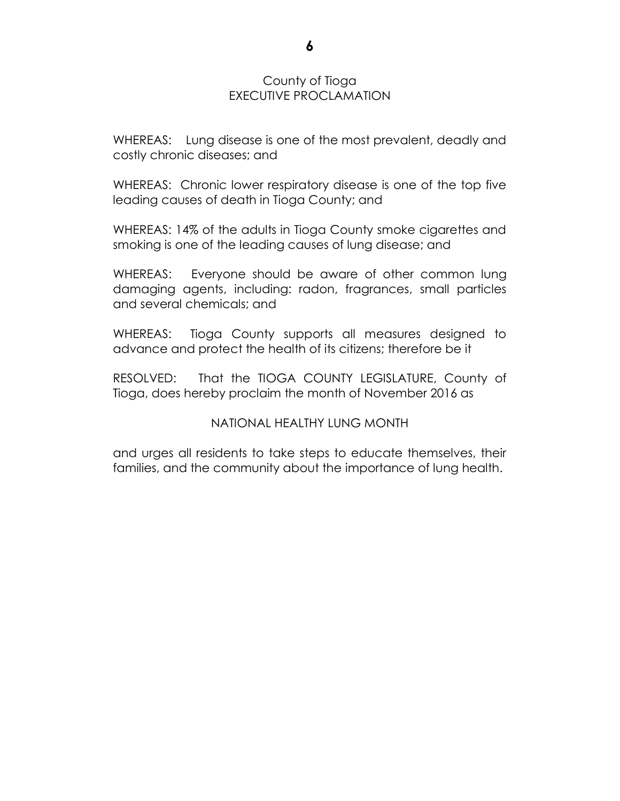### County of Tioga EXECUTIVE PROCLAMATION

WHEREAS: Lung disease is one of the most prevalent, deadly and costly chronic diseases; and

WHEREAS: Chronic lower respiratory disease is one of the top five leading causes of death in Tioga County; and

WHEREAS: 14% of the adults in Tioga County smoke cigarettes and smoking is one of the leading causes of lung disease; and

WHEREAS: Everyone should be aware of other common lung damaging agents, including: radon, fragrances, small particles and several chemicals; and

WHEREAS: Tioga County supports all measures designed to advance and protect the health of its citizens; therefore be it

RESOLVED: That the TIOGA COUNTY LEGISLATURE, County of Tioga, does hereby proclaim the month of November 2016 as

### NATIONAL HEALTHY LUNG MONTH

and urges all residents to take steps to educate themselves, their families, and the community about the importance of lung health.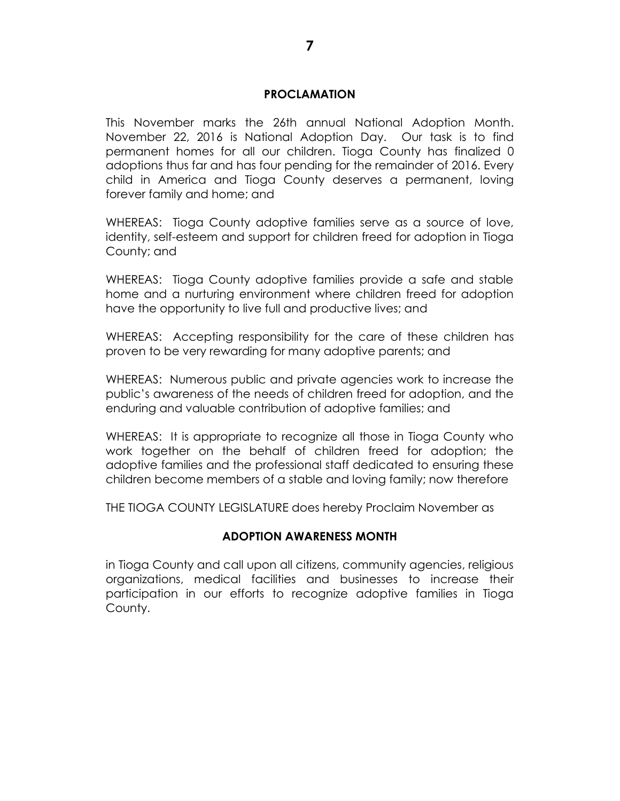#### **PROCLAMATION**

This November marks the 26th annual National Adoption Month. November 22, 2016 is National Adoption Day. Our task is to find permanent homes for all our children. Tioga County has finalized 0 adoptions thus far and has four pending for the remainder of 2016. Every child in America and Tioga County deserves a permanent, loving forever family and home; and

WHEREAS: Tioga County adoptive families serve as a source of love, identity, self-esteem and support for children freed for adoption in Tioga County; and

WHEREAS: Tioga County adoptive families provide a safe and stable home and a nurturing environment where children freed for adoption have the opportunity to live full and productive lives; and

WHEREAS: Accepting responsibility for the care of these children has proven to be very rewarding for many adoptive parents; and

WHEREAS: Numerous public and private agencies work to increase the public's awareness of the needs of children freed for adoption, and the enduring and valuable contribution of adoptive families; and

WHEREAS: It is appropriate to recognize all those in Tioga County who work together on the behalf of children freed for adoption; the adoptive families and the professional staff dedicated to ensuring these children become members of a stable and loving family; now therefore

THE TIOGA COUNTY LEGISLATURE does hereby Proclaim November as

#### **ADOPTION AWARENESS MONTH**

in Tioga County and call upon all citizens, community agencies, religious organizations, medical facilities and businesses to increase their participation in our efforts to recognize adoptive families in Tioga County.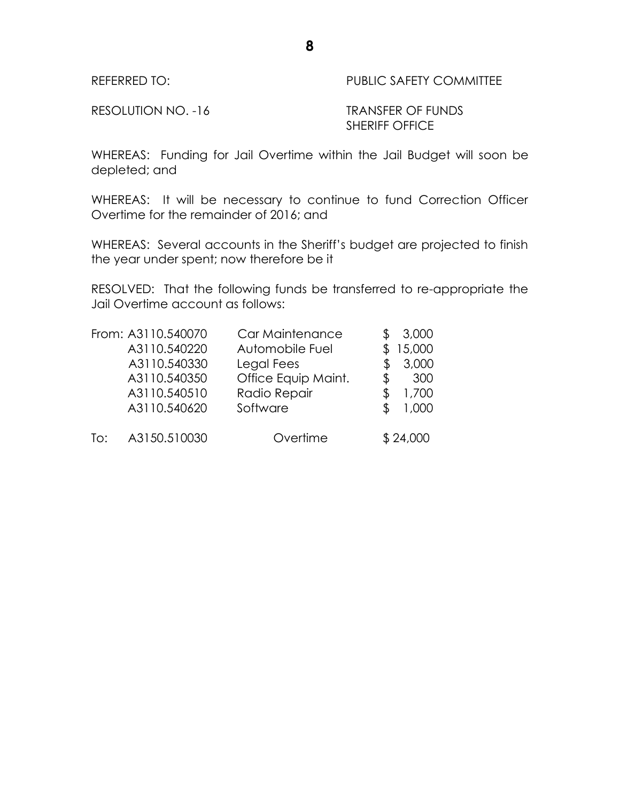REFERRED TO: PUBLIC SAFETY COMMITTEE

RESOLUTION NO. -16 TRANSFER OF FUNDS

SHERIFF OFFICE

WHEREAS: Funding for Jail Overtime within the Jail Budget will soon be depleted; and

WHEREAS: It will be necessary to continue to fund Correction Officer Overtime for the remainder of 2016; and

WHEREAS: Several accounts in the Sheriff's budget are projected to finish the year under spent; now therefore be it

RESOLVED: That the following funds be transferred to re-appropriate the Jail Overtime account as follows:

|     | From: A3110.540070 | Car Maintenance     |    | 3,000    |
|-----|--------------------|---------------------|----|----------|
|     | A3110.540220       | Automobile Fuel     |    | 15,000   |
|     | A3110.540330       | Legal Fees          |    | 3,000    |
|     | A3110.540350       | Office Equip Maint. | \$ | 300      |
|     | A3110.540510       | Radio Repair        | S. | 1,700    |
|     | A3110.540620       | Software            |    | 1,000    |
| To: | A3150.510030       | Overtime            |    | \$24,000 |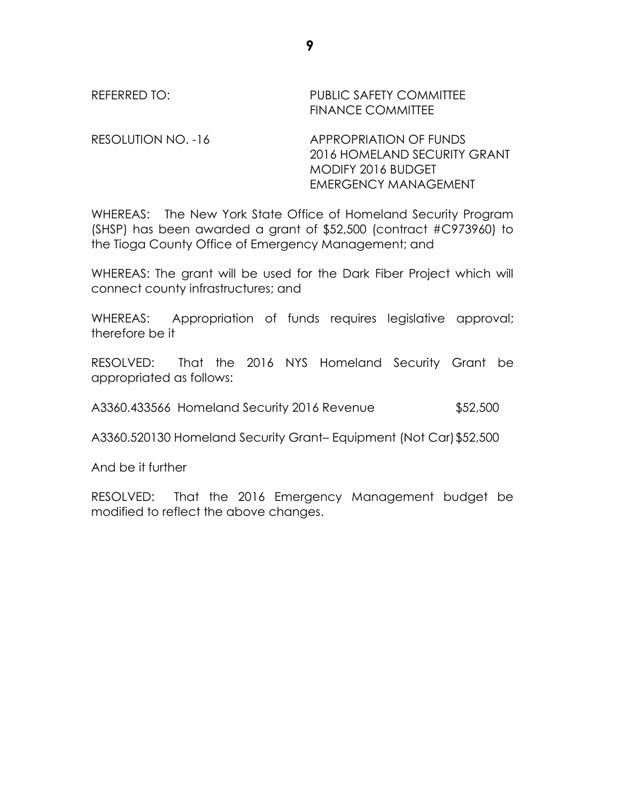# REFERRED TO: PUBLIC SAFETY COMMITTEE FINANCE COMMITTEE RESOLUTION NO. -16 APPROPRIATION OF FUNDS

2016 HOMELAND SECURITY GRANT MODIFY 2016 BUDGET EMERGENCY MANAGEMENT

WHEREAS: The New York State Office of Homeland Security Program (SHSP) has been awarded a grant of \$52,500 (contract #C973960) to the Tioga County Office of Emergency Management; and

WHEREAS: The grant will be used for the Dark Fiber Project which will connect county infrastructures; and

WHEREAS: Appropriation of funds requires legislative approval; therefore be it

RESOLVED: That the 2016 NYS Homeland Security Grant be appropriated as follows:

A3360.433566 Homeland Security 2016 Revenue \$52,500

A3360.520130 Homeland Security Grant– Equipment (Not Car)\$52,500

And be it further

RESOLVED: That the 2016 Emergency Management budget be modified to reflect the above changes.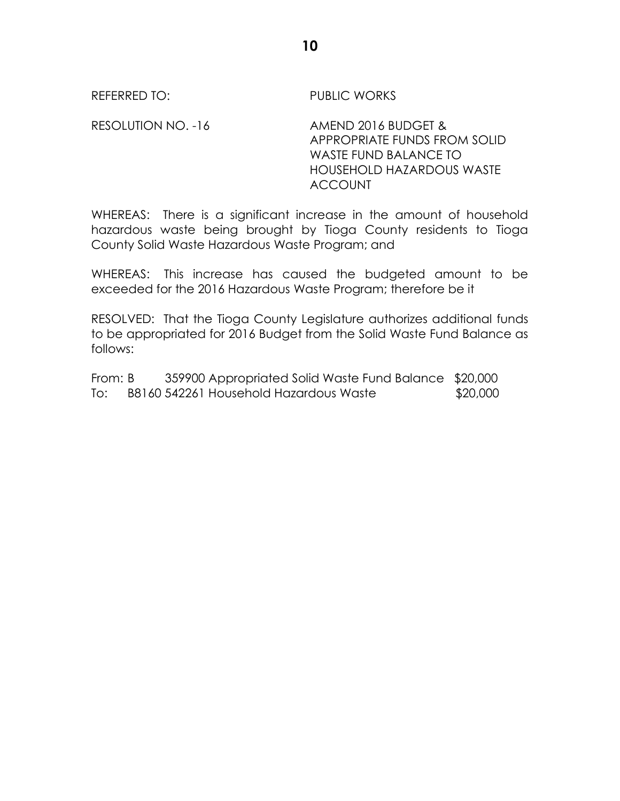REFERRED TO: PUBLIC WORKS

RESOLUTION NO. -16 AMEND 2016 BUDGET & APPROPRIATE FUNDS FROM SOLID WASTE FUND BALANCE TO HOUSEHOLD HAZARDOUS WASTE ACCOUNT

WHEREAS: There is a significant increase in the amount of household hazardous waste being brought by Tioga County residents to Tioga County Solid Waste Hazardous Waste Program; and

WHEREAS: This increase has caused the budgeted amount to be exceeded for the 2016 Hazardous Waste Program; therefore be it

RESOLVED: That the Tioga County Legislature authorizes additional funds to be appropriated for 2016 Budget from the Solid Waste Fund Balance as follows:

From: B 359900 Appropriated Solid Waste Fund Balance \$20,000 To: B8160 542261 Household Hazardous Waste \$20,000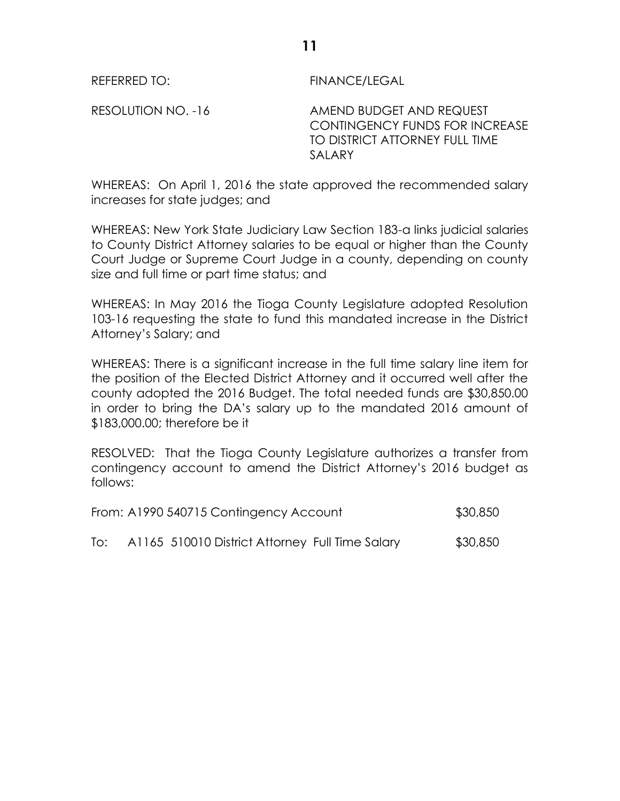REFERRED TO: FINANCE/LEGAL

RESOLUTION NO. -16 AMEND BUDGET AND REQUEST CONTINGENCY FUNDS FOR INCREASE TO DISTRICT ATTORNEY FULL TIME SALARY

WHEREAS: On April 1, 2016 the state approved the recommended salary increases for state judges; and

WHEREAS: New York State Judiciary Law Section 183-a links judicial salaries to County District Attorney salaries to be equal or higher than the County Court Judge or Supreme Court Judge in a county, depending on county size and full time or part time status; and

WHEREAS: In May 2016 the Tioga County Legislature adopted Resolution 103-16 requesting the state to fund this mandated increase in the District Attorney's Salary; and

WHEREAS: There is a significant increase in the full time salary line item for the position of the Elected District Attorney and it occurred well after the county adopted the 2016 Budget. The total needed funds are \$30,850.00 in order to bring the DA's salary up to the mandated 2016 amount of \$183,000.00; therefore be it

RESOLVED: That the Tioga County Legislature authorizes a transfer from contingency account to amend the District Attorney's 2016 budget as follows:

|     | From: A1990 540715 Contingency Account          | \$30,850 |
|-----|-------------------------------------------------|----------|
| To: | A1165 510010 District Attorney Full Time Salary | \$30,850 |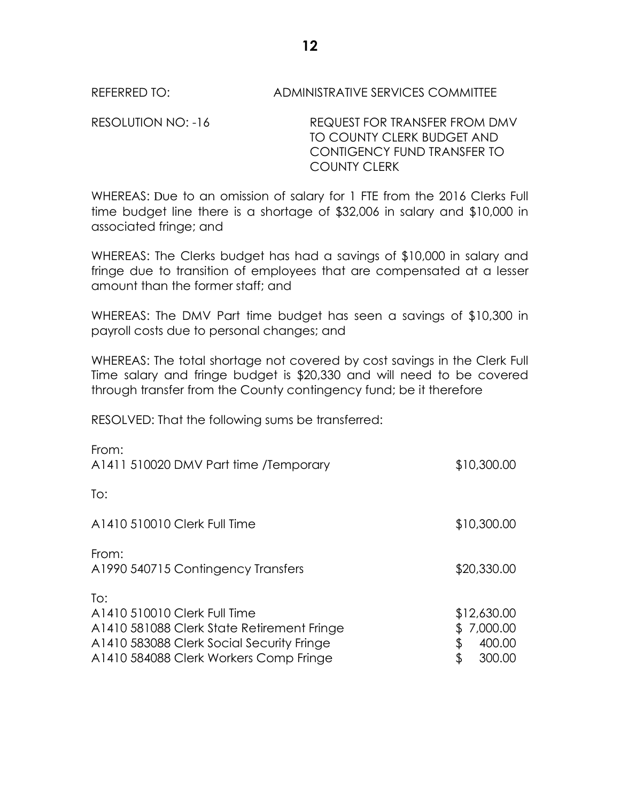REFERRED TO: ADMINISTRATIVE SERVICES COMMITTEE

RESOLUTION NO: -16 REQUEST FOR TRANSFER FROM DMV TO COUNTY CLERK BUDGET AND CONTIGENCY FUND TRANSFER TO COUNTY CLERK

WHEREAS: Due to an omission of salary for 1 FTE from the 2016 Clerks Full time budget line there is a shortage of \$32,006 in salary and \$10,000 in associated fringe; and

WHEREAS: The Clerks budget has had a savings of \$10,000 in salary and fringe due to transition of employees that are compensated at a lesser amount than the former staff; and

WHEREAS: The DMV Part time budget has seen a savings of \$10,300 in payroll costs due to personal changes; and

WHEREAS: The total shortage not covered by cost savings in the Clerk Full Time salary and fringe budget is \$20,330 and will need to be covered through transfer from the County contingency fund; be it therefore

RESOLVED: That the following sums be transferred:

| From:<br>A1411 510020 DMV Part time / Temporary                                                                                                                          | \$10,300.00                                             |
|--------------------------------------------------------------------------------------------------------------------------------------------------------------------------|---------------------------------------------------------|
| To:                                                                                                                                                                      |                                                         |
| A1410 510010 Clerk Full Time                                                                                                                                             | \$10,300.00                                             |
| From:<br>A1990 540715 Contingency Transfers                                                                                                                              | \$20,330.00                                             |
| To:<br>A1410 510010 Clerk Full Time<br>A1410 581088 Clerk State Retirement Fringe<br>A1410 583088 Clerk Social Security Fringe<br>A1410 584088 Clerk Workers Comp Fringe | \$12,630.00<br>7,000.00<br>\$<br>400.00<br>\$<br>300.00 |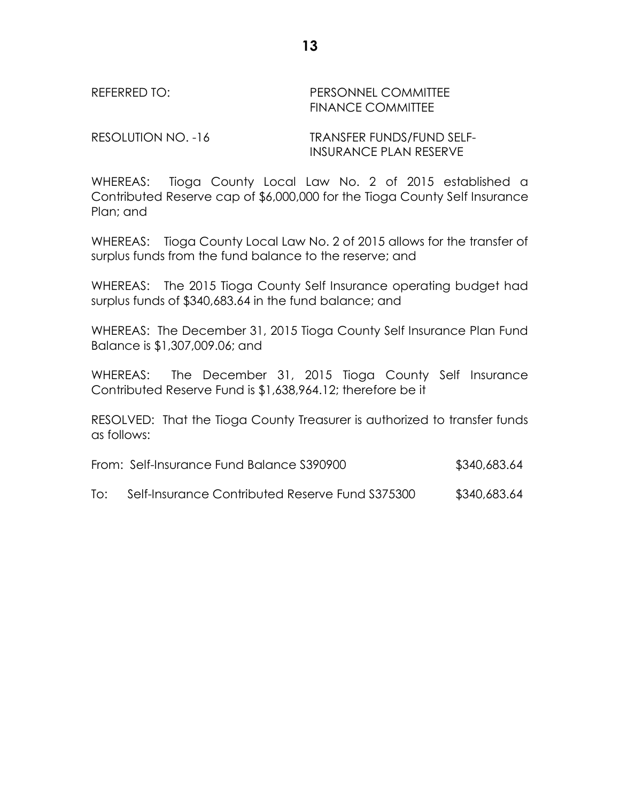REFERRED TO: PERSONNEL COMMITTEE FINANCE COMMITTEE

RESOLUTION NO. -16 TRANSFER FUNDS/FUND SELF-INSURANCE PLAN RESERVE

WHEREAS: Tioga County Local Law No. 2 of 2015 established a Contributed Reserve cap of \$6,000,000 for the Tioga County Self Insurance Plan; and

WHEREAS: Tioga County Local Law No. 2 of 2015 allows for the transfer of surplus funds from the fund balance to the reserve; and

WHEREAS: The 2015 Tioga County Self Insurance operating budget had surplus funds of \$340,683.64 in the fund balance; and

WHEREAS: The December 31, 2015 Tioga County Self Insurance Plan Fund Balance is \$1,307,009.06; and

WHEREAS: The December 31, 2015 Tioga County Self Insurance Contributed Reserve Fund is \$1,638,964.12; therefore be it

RESOLVED: That the Tioga County Treasurer is authorized to transfer funds as follows:

| From: Self-Insurance Fund Balance S390900 | \$340,683.64 |
|-------------------------------------------|--------------|
|-------------------------------------------|--------------|

To: Self-Insurance Contributed Reserve Fund S375300 \$340,683.64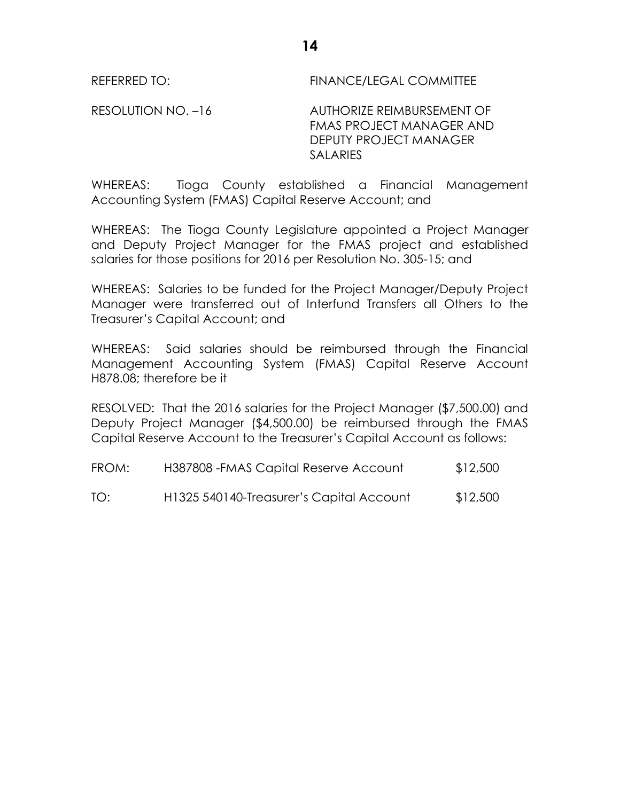REFERRED TO: FINANCE/LEGAL COMMITTEE

RESOLUTION NO. -16 AUTHORIZE REIMBURSEMENT OF FMAS PROJECT MANAGER AND DEPUTY PROJECT MANAGER **SALARIES** 

WHEREAS: Tioga County established a Financial Management Accounting System (FMAS) Capital Reserve Account; and

WHEREAS: The Tioga County Legislature appointed a Project Manager and Deputy Project Manager for the FMAS project and established salaries for those positions for 2016 per Resolution No. 305-15; and

WHEREAS: Salaries to be funded for the Project Manager/Deputy Project Manager were transferred out of Interfund Transfers all Others to the Treasurer's Capital Account; and

WHEREAS: Said salaries should be reimbursed through the Financial Management Accounting System (FMAS) Capital Reserve Account H878.08; therefore be it

RESOLVED: That the 2016 salaries for the Project Manager (\$7,500.00) and Deputy Project Manager (\$4,500.00) be reimbursed through the FMAS Capital Reserve Account to the Treasurer's Capital Account as follows:

FROM: H387808 -FMAS Capital Reserve Account \$12,500

TO: H1325 540140-Treasurer's Capital Account \$12,500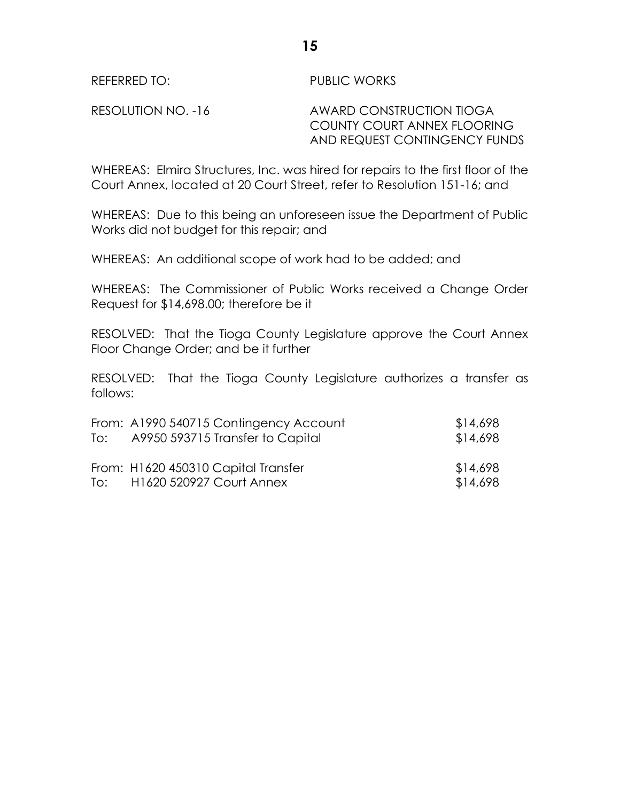REFERRED TO: PUBLIC WORKS

RESOLUTION NO. -16 AWARD CONSTRUCTION TIOGA COUNTY COURT ANNEX FLOORING AND REQUEST CONTINGENCY FUNDS

WHEREAS: Elmira Structures, Inc. was hired for repairs to the first floor of the Court Annex, located at 20 Court Street, refer to Resolution 151-16; and

WHEREAS: Due to this being an unforeseen issue the Department of Public Works did not budget for this repair; and

WHEREAS: An additional scope of work had to be added; and

WHEREAS: The Commissioner of Public Works received a Change Order Request for \$14,698.00; therefore be it

RESOLVED: That the Tioga County Legislature approve the Court Annex Floor Change Order; and be it further

RESOLVED: That the Tioga County Legislature authorizes a transfer as follows:

| To: | From: A1990 540715 Contingency Account<br>A9950 593715 Transfer to Capital | \$14,698<br>\$14,698 |
|-----|----------------------------------------------------------------------------|----------------------|
|     | From: H1620 450310 Capital Transfer<br>To: H1620 520927 Court Annex        | \$14,698<br>\$14,698 |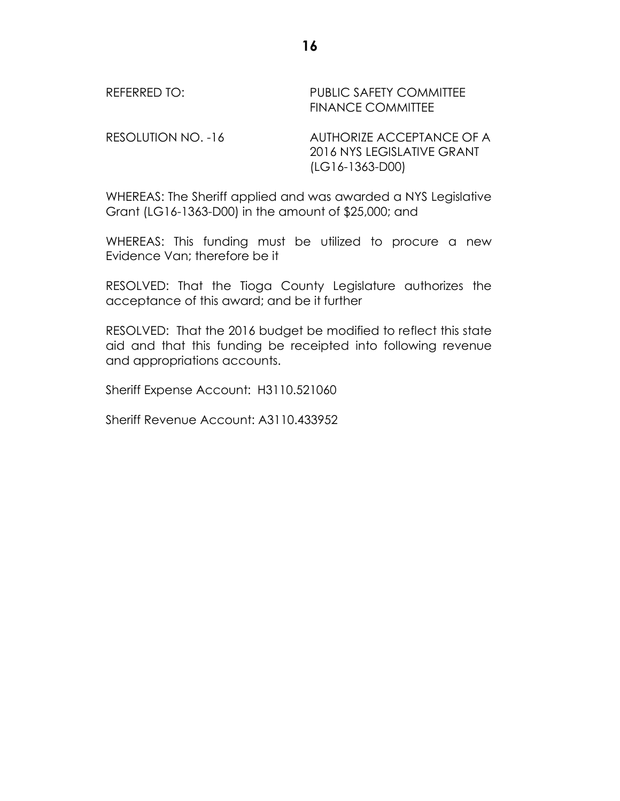| REFERRED TO:       | <b>PUBLIC SAFETY COMMITTEE</b><br><b>FINANCE COMMITTEE</b>                   |
|--------------------|------------------------------------------------------------------------------|
| RESOLUTION NO. -16 | AUTHORIZE ACCEPTANCE OF A<br>2016 NYS LEGISLATIVE GRANT<br>$(LG16-1363-D00)$ |

WHEREAS: The Sheriff applied and was awarded a NYS Legislative Grant (LG16-1363-D00) in the amount of \$25,000; and

WHEREAS: This funding must be utilized to procure a new Evidence Van; therefore be it

RESOLVED: That the Tioga County Legislature authorizes the acceptance of this award; and be it further

RESOLVED: That the 2016 budget be modified to reflect this state aid and that this funding be receipted into following revenue and appropriations accounts.

Sheriff Expense Account: H3110.521060

Sheriff Revenue Account: A3110.433952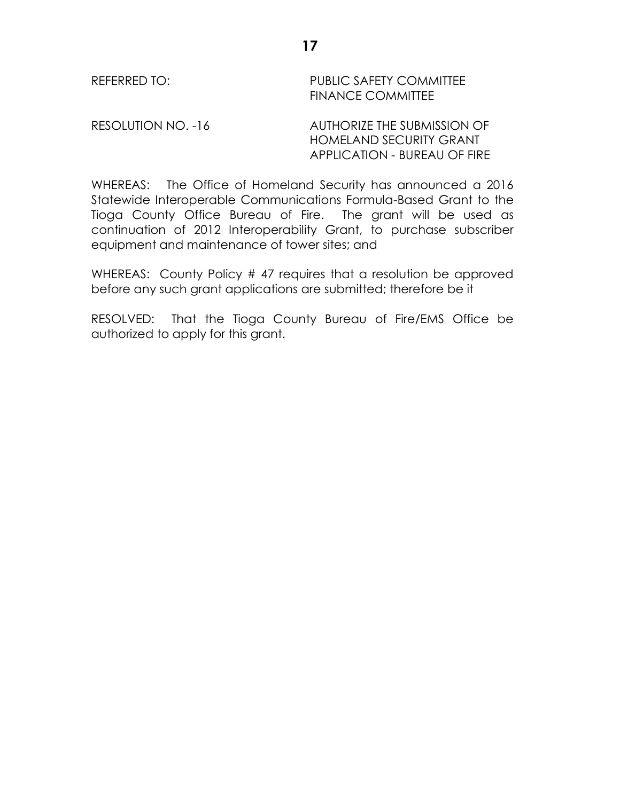REFERRED TO: PUBLIC SAFETY COMMITTEE FINANCE COMMITTEE

RESOLUTION NO. -16 AUTHORIZE THE SUBMISSION OF HOMELAND SECURITY GRANT APPLICATION - BUREAU OF FIRE

WHEREAS: The Office of Homeland Security has announced a 2016 Statewide Interoperable Communications Formula-Based Grant to the Tioga County Office Bureau of Fire. The grant will be used as continuation of 2012 Interoperability Grant, to purchase subscriber equipment and maintenance of tower sites; and

WHEREAS: County Policy # 47 requires that a resolution be approved before any such grant applications are submitted; therefore be it

RESOLVED: That the Tioga County Bureau of Fire/EMS Office be authorized to apply for this grant.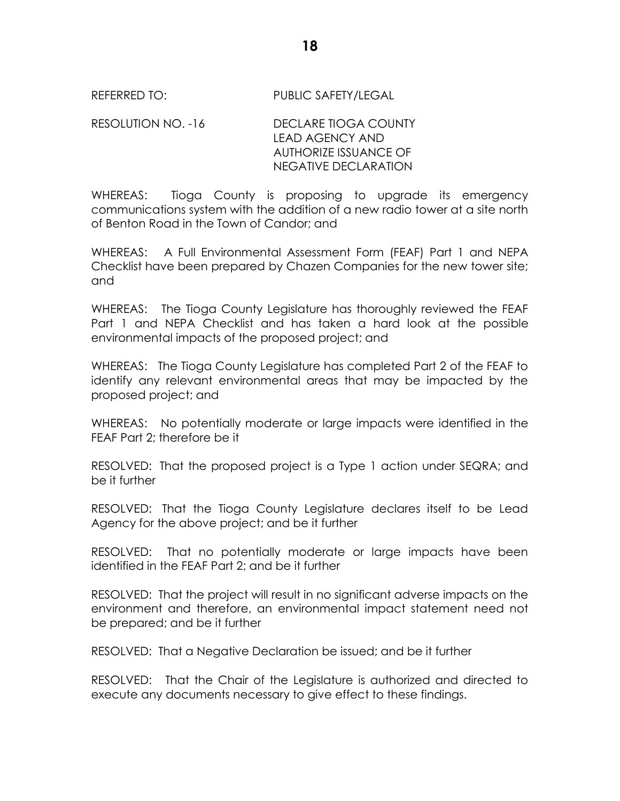REFERRED TO: PUBLIC SAFETY/LEGAL

RESOLUTION NO. -16 DECLARE TIOGA COUNTY LEAD AGENCY AND AUTHORIZE ISSUANCE OF NEGATIVE DECLARATION

WHEREAS: Tioga County is proposing to upgrade its emergency communications system with the addition of a new radio tower at a site north of Benton Road in the Town of Candor; and

WHEREAS: A Full Environmental Assessment Form (FEAF) Part 1 and NEPA Checklist have been prepared by Chazen Companies for the new tower site; and

WHEREAS: The Tioga County Legislature has thoroughly reviewed the FEAF Part 1 and NEPA Checklist and has taken a hard look at the possible environmental impacts of the proposed project; and

WHEREAS: The Tioga County Legislature has completed Part 2 of the FEAF to identify any relevant environmental areas that may be impacted by the proposed project; and

WHEREAS: No potentially moderate or large impacts were identified in the FEAF Part 2; therefore be it

RESOLVED: That the proposed project is a Type 1 action under SEQRA; and be it further

RESOLVED: That the Tioga County Legislature declares itself to be Lead Agency for the above project; and be it further

RESOLVED: That no potentially moderate or large impacts have been identified in the FEAF Part 2; and be it further

RESOLVED: That the project will result in no significant adverse impacts on the environment and therefore, an environmental impact statement need not be prepared; and be it further

RESOLVED: That a Negative Declaration be issued; and be it further

RESOLVED: That the Chair of the Legislature is authorized and directed to execute any documents necessary to give effect to these findings.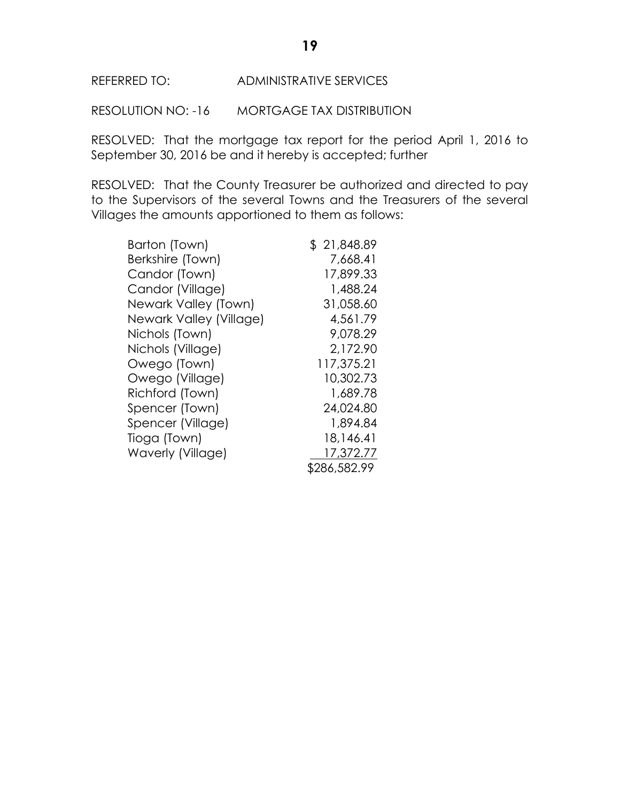RESOLUTION NO: -16 MORTGAGE TAX DISTRIBUTION

RESOLVED: That the mortgage tax report for the period April 1, 2016 to September 30, 2016 be and it hereby is accepted; further

RESOLVED: That the County Treasurer be authorized and directed to pay to the Supervisors of the several Towns and the Treasurers of the several Villages the amounts apportioned to them as follows:

| Barton (Town)           | \$21,848.89  |
|-------------------------|--------------|
| Berkshire (Town)        | 7,668.41     |
| Candor (Town)           | 17,899.33    |
| Candor (Village)        | 1,488.24     |
| Newark Valley (Town)    | 31,058.60    |
| Newark Valley (Village) | 4,561.79     |
| Nichols (Town)          | 9,078.29     |
| Nichols (Village)       | 2,172.90     |
| Owego (Town)            | 117,375.21   |
| Owego (Village)         | 10,302.73    |
| Richford (Town)         | 1,689.78     |
| Spencer (Town)          | 24,024.80    |
| Spencer (Village)       | 1,894.84     |
| Tioga (Town)            | 18,146.41    |
| Waverly (Village)       | 17,372.77    |
|                         | \$286,582.99 |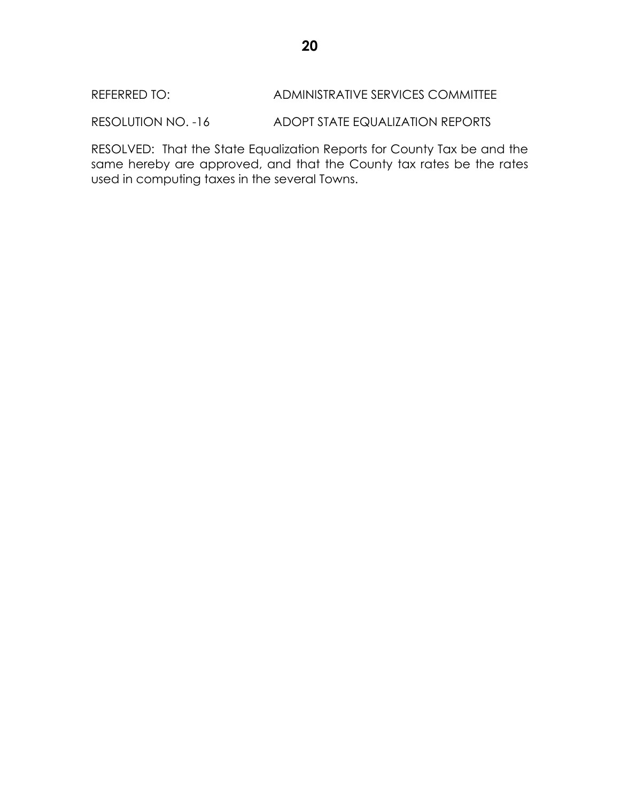RESOLUTION NO. -16 ADOPT STATE EQUALIZATION REPORTS

RESOLVED: That the State Equalization Reports for County Tax be and the same hereby are approved, and that the County tax rates be the rates used in computing taxes in the several Towns.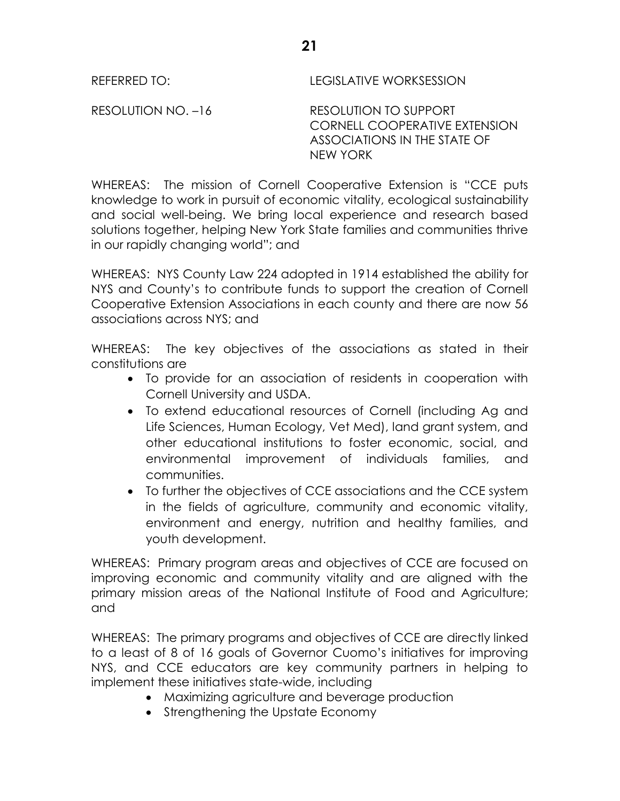REFERRED TO: LEGISLATIVE WORKSESSION

RESOLUTION NO. –16 RESOLUTION TO SUPPORT CORNELL COOPERATIVE EXTENSION ASSOCIATIONS IN THE STATE OF NEW YORK

WHEREAS: The mission of Cornell Cooperative Extension is "CCE puts knowledge to work in pursuit of economic vitality, ecological sustainability and social well-being. We bring local experience and research based solutions together, helping New York State families and communities thrive in our rapidly changing world"; and

WHEREAS: NYS County Law 224 adopted in 1914 established the ability for NYS and County's to contribute funds to support the creation of Cornell Cooperative Extension Associations in each county and there are now 56 associations across NYS; and

WHEREAS: The key objectives of the associations as stated in their constitutions are

- To provide for an association of residents in cooperation with Cornell University and USDA.
- To extend educational resources of Cornell (including Ag and Life Sciences, Human Ecology, Vet Med), land grant system, and other educational institutions to foster economic, social, and environmental improvement of individuals families, and communities.
- To further the objectives of CCE associations and the CCE system in the fields of agriculture, community and economic vitality, environment and energy, nutrition and healthy families, and youth development.

WHEREAS: Primary program areas and objectives of CCE are focused on improving economic and community vitality and are aligned with the primary mission areas of the National Institute of Food and Agriculture; and

WHEREAS: The primary programs and objectives of CCE are directly linked to a least of 8 of 16 goals of Governor Cuomo's initiatives for improving NYS, and CCE educators are key community partners in helping to implement these initiatives state-wide, including

- Maximizing agriculture and beverage production
- Strengthening the Upstate Economy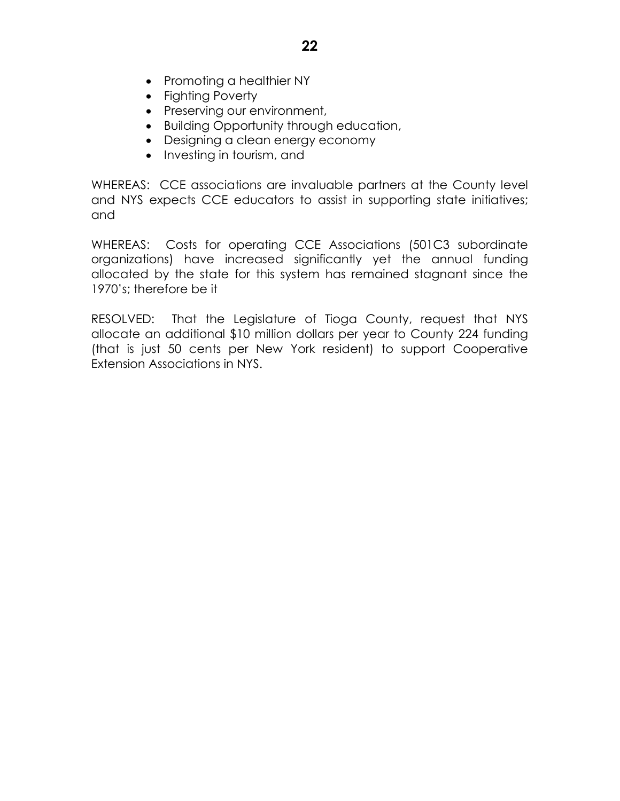- Promoting a healthier NY
- Fighting Poverty
- Preserving our environment,
- Building Opportunity through education,
- Designing a clean energy economy
- Investing in tourism, and

WHEREAS: CCE associations are invaluable partners at the County level and NYS expects CCE educators to assist in supporting state initiatives; and

WHEREAS: Costs for operating CCE Associations (501C3 subordinate organizations) have increased significantly yet the annual funding allocated by the state for this system has remained stagnant since the 1970's; therefore be it

RESOLVED: That the Legislature of Tioga County, request that NYS allocate an additional \$10 million dollars per year to County 224 funding (that is just 50 cents per New York resident) to support Cooperative Extension Associations in NYS.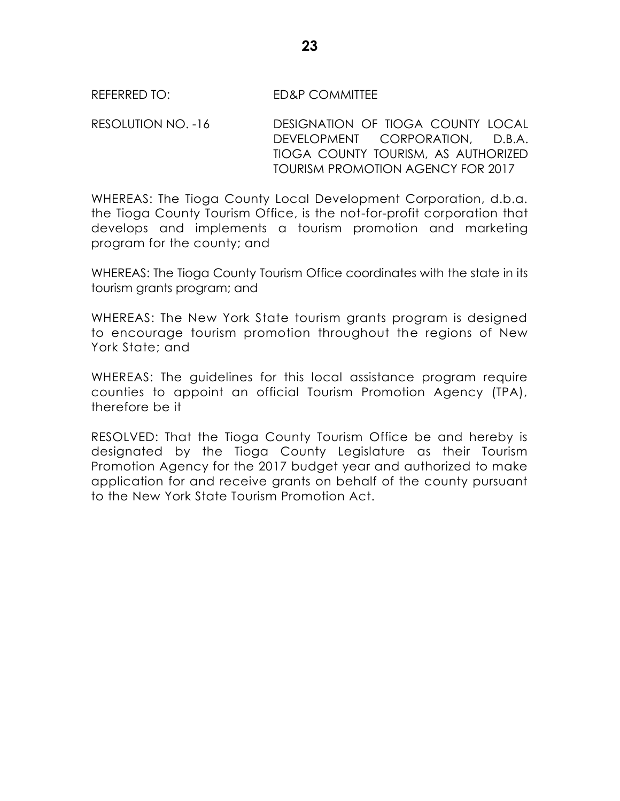REFERRED TO: ED&P COMMITTEE

RESOLUTION NO. -16 DESIGNATION OF TIOGA COUNTY LOCAL DEVELOPMENT CORPORATION, D.B.A. TIOGA COUNTY TOURISM, AS AUTHORIZED TOURISM PROMOTION AGENCY FOR 2017

WHEREAS: The Tioga County Local Development Corporation, d.b.a. the Tioga County Tourism Office, is the not-for-profit corporation that develops and implements a tourism promotion and marketing program for the county; and

WHEREAS: The Tioga County Tourism Office coordinates with the state in its tourism grants program; and

WHEREAS: The New York State tourism grants program is designed to encourage tourism promotion throughout the regions of New York State; and

WHEREAS: The guidelines for this local assistance program require counties to appoint an official Tourism Promotion Agency (TPA), therefore be it

RESOLVED: That the Tioga County Tourism Office be and hereby is designated by the Tioga County Legislature as their Tourism Promotion Agency for the 2017 budget year and authorized to make application for and receive grants on behalf of the county pursuant to the New York State Tourism Promotion Act.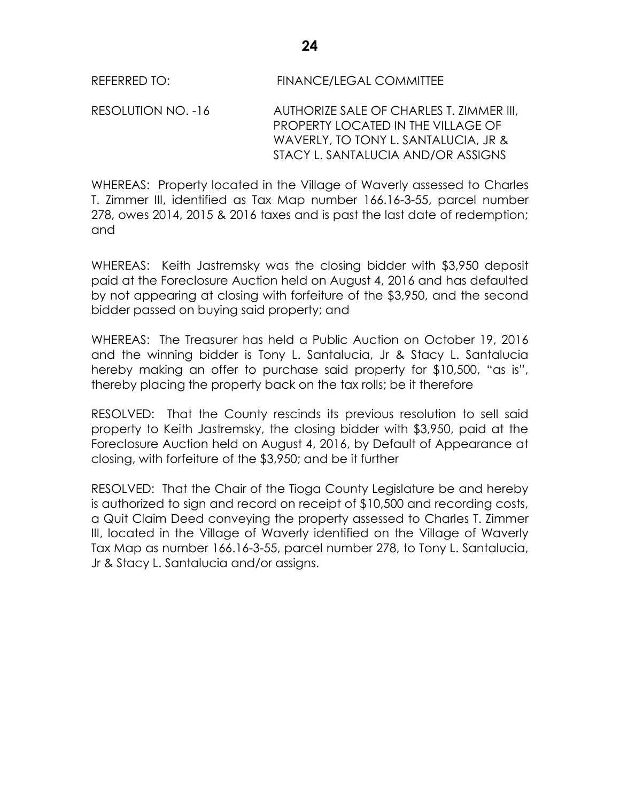REFERRED TO: FINANCE/LEGAL COMMITTEE

RESOLUTION NO. -16 AUTHORIZE SALE OF CHARLES T. ZIMMER III, PROPERTY LOCATED IN THE VILLAGE OF WAVERLY, TO TONY L. SANTALUCIA, JR & STACY L. SANTALUCIA AND/OR ASSIGNS

WHEREAS: Property located in the Village of Waverly assessed to Charles T. Zimmer III, identified as Tax Map number 166.16-3-55, parcel number 278, owes 2014, 2015 & 2016 taxes and is past the last date of redemption; and

WHEREAS: Keith Jastremsky was the closing bidder with \$3,950 deposit paid at the Foreclosure Auction held on August 4, 2016 and has defaulted by not appearing at closing with forfeiture of the \$3,950, and the second bidder passed on buying said property; and

WHEREAS: The Treasurer has held a Public Auction on October 19, 2016 and the winning bidder is Tony L. Santalucia, Jr & Stacy L. Santalucia hereby making an offer to purchase said property for \$10,500, "as is", thereby placing the property back on the tax rolls; be it therefore

RESOLVED: That the County rescinds its previous resolution to sell said property to Keith Jastremsky, the closing bidder with \$3,950, paid at the Foreclosure Auction held on August 4, 2016, by Default of Appearance at closing, with forfeiture of the \$3,950; and be it further

RESOLVED: That the Chair of the Tioga County Legislature be and hereby is authorized to sign and record on receipt of \$10,500 and recording costs, a Quit Claim Deed conveying the property assessed to Charles T. Zimmer III, located in the Village of Waverly identified on the Village of Waverly Tax Map as number 166.16-3-55, parcel number 278, to Tony L. Santalucia, Jr & Stacy L. Santalucia and/or assigns.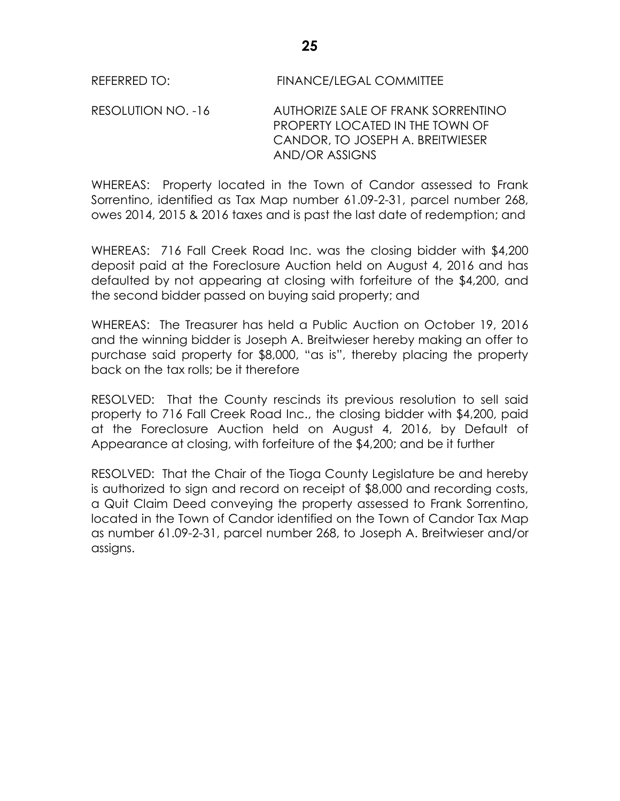RESOLUTION NO. -16 AUTHORIZE SALE OF FRANK SORRENTINO PROPERTY LOCATED IN THE TOWN OF CANDOR, TO JOSEPH A. BREITWIESER AND/OR ASSIGNS

WHEREAS: Property located in the Town of Candor assessed to Frank Sorrentino, identified as Tax Map number 61.09-2-31, parcel number 268, owes 2014, 2015 & 2016 taxes and is past the last date of redemption; and

WHEREAS: 716 Fall Creek Road Inc. was the closing bidder with \$4,200 deposit paid at the Foreclosure Auction held on August 4, 2016 and has defaulted by not appearing at closing with forfeiture of the \$4,200, and the second bidder passed on buying said property; and

WHEREAS: The Treasurer has held a Public Auction on October 19, 2016 and the winning bidder is Joseph A. Breitwieser hereby making an offer to purchase said property for \$8,000, "as is", thereby placing the property back on the tax rolls; be it therefore

RESOLVED: That the County rescinds its previous resolution to sell said property to 716 Fall Creek Road Inc., the closing bidder with \$4,200, paid at the Foreclosure Auction held on August 4, 2016, by Default of Appearance at closing, with forfeiture of the \$4,200; and be it further

RESOLVED: That the Chair of the Tioga County Legislature be and hereby is authorized to sign and record on receipt of \$8,000 and recording costs, a Quit Claim Deed conveying the property assessed to Frank Sorrentino, located in the Town of Candor identified on the Town of Candor Tax Map as number 61.09-2-31, parcel number 268, to Joseph A. Breitwieser and/or assigns.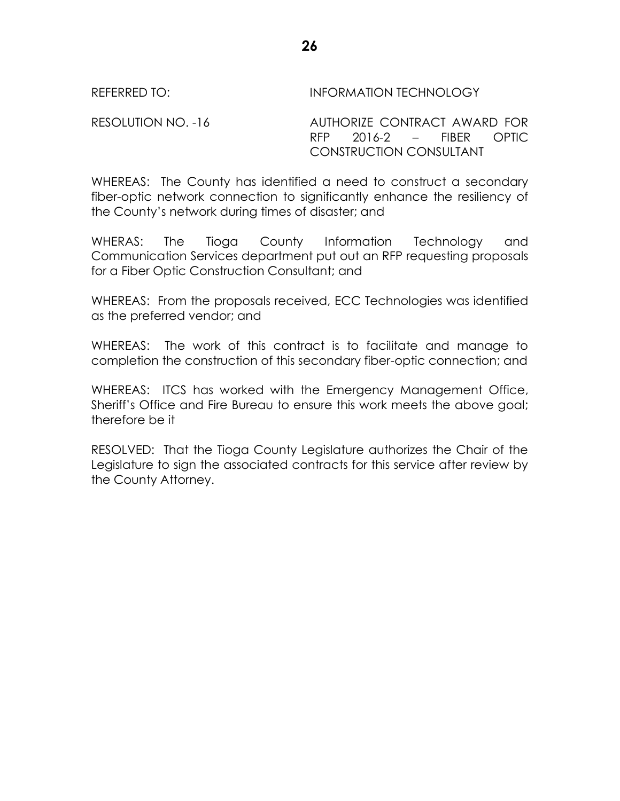REFERRED TO: INFORMATION TECHNOLOGY

RESOLUTION NO. -16 AUTHORIZE CONTRACT AWARD FOR RFP 2016-2 – FIBER OPTIC CONSTRUCTION CONSULTANT

WHEREAS: The County has identified a need to construct a secondary fiber-optic network connection to significantly enhance the resiliency of the County's network during times of disaster; and

WHERAS: The Tioga County Information Technology and Communication Services department put out an RFP requesting proposals for a Fiber Optic Construction Consultant; and

WHEREAS: From the proposals received, ECC Technologies was identified as the preferred vendor; and

WHEREAS: The work of this contract is to facilitate and manage to completion the construction of this secondary fiber-optic connection; and

WHEREAS: ITCS has worked with the Emergency Management Office, Sheriff's Office and Fire Bureau to ensure this work meets the above goal; therefore be it

RESOLVED: That the Tioga County Legislature authorizes the Chair of the Legislature to sign the associated contracts for this service after review by the County Attorney.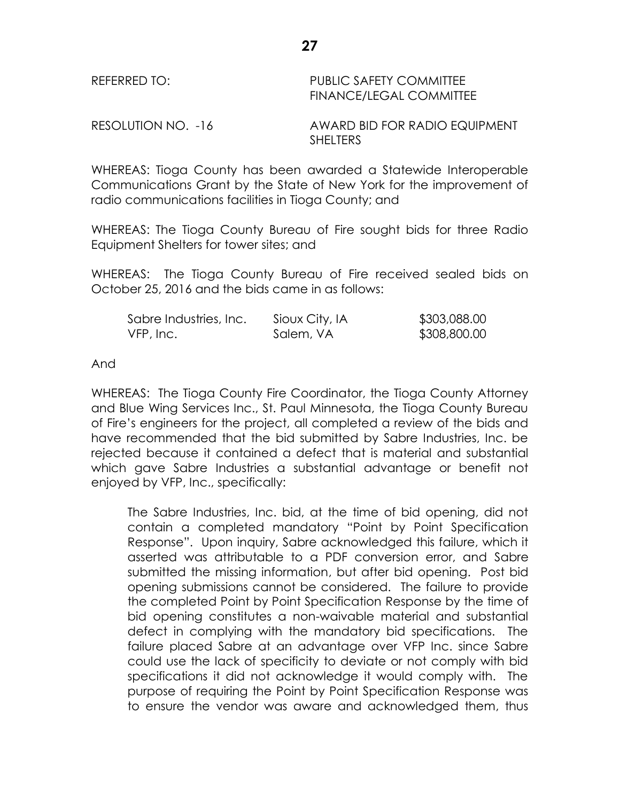### REFERRED TO: PUBLIC SAFETY COMMITTEE FINANCE/LEGAL COMMITTEE

RESOLUTION NO. -16 AWARD BID FOR RADIO EQUIPMENT **SHELTERS** 

WHEREAS: Tioga County has been awarded a Statewide Interoperable Communications Grant by the State of New York for the improvement of radio communications facilities in Tioga County; and

WHEREAS: The Tioga County Bureau of Fire sought bids for three Radio Equipment Shelters for tower sites; and

WHEREAS: The Tioga County Bureau of Fire received sealed bids on October 25, 2016 and the bids came in as follows:

| Sabre Industries, Inc. | Sioux City, IA | \$303,088.00 |
|------------------------|----------------|--------------|
| VFP, Inc.              | Salem, VA      | \$308,800.00 |

And

WHEREAS: The Tioga County Fire Coordinator, the Tioga County Attorney and Blue Wing Services Inc., St. Paul Minnesota, the Tioga County Bureau of Fire's engineers for the project, all completed a review of the bids and have recommended that the bid submitted by Sabre Industries, Inc. be rejected because it contained a defect that is material and substantial which gave Sabre Industries a substantial advantage or benefit not enjoyed by VFP, Inc., specifically:

The Sabre Industries, Inc. bid, at the time of bid opening, did not contain a completed mandatory "Point by Point Specification Response". Upon inquiry, Sabre acknowledged this failure, which it asserted was attributable to a PDF conversion error, and Sabre submitted the missing information, but after bid opening. Post bid opening submissions cannot be considered. The failure to provide the completed Point by Point Specification Response by the time of bid opening constitutes a non-waivable material and substantial defect in complying with the mandatory bid specifications. The failure placed Sabre at an advantage over VFP Inc. since Sabre could use the lack of specificity to deviate or not comply with bid specifications it did not acknowledge it would comply with. The purpose of requiring the Point by Point Specification Response was to ensure the vendor was aware and acknowledged them, thus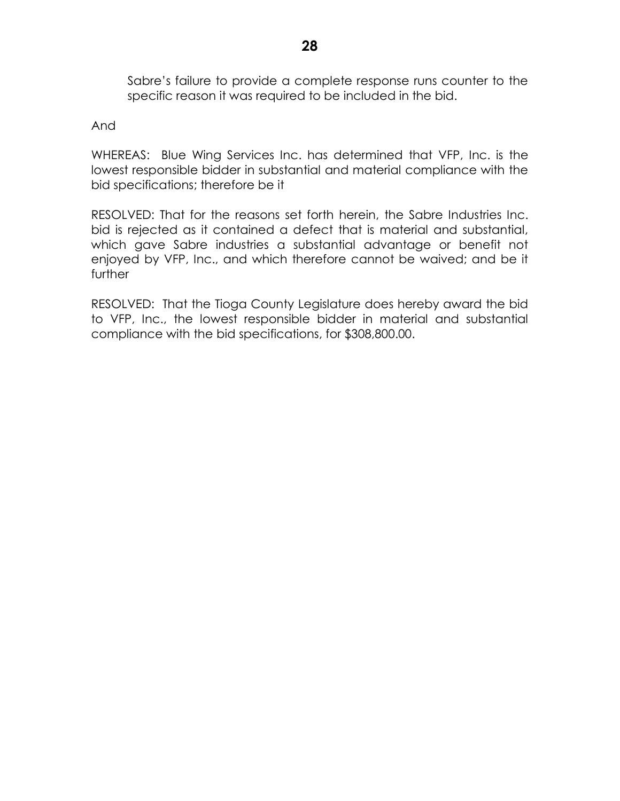Sabre's failure to provide a complete response runs counter to the specific reason it was required to be included in the bid.

And

WHEREAS: Blue Wing Services Inc. has determined that VFP, Inc. is the lowest responsible bidder in substantial and material compliance with the bid specifications; therefore be it

RESOLVED: That for the reasons set forth herein, the Sabre Industries Inc. bid is rejected as it contained a defect that is material and substantial, which gave Sabre industries a substantial advantage or benefit not enjoyed by VFP, Inc., and which therefore cannot be waived; and be it further

RESOLVED: That the Tioga County Legislature does hereby award the bid to VFP, Inc., the lowest responsible bidder in material and substantial compliance with the bid specifications, for \$308,800.00.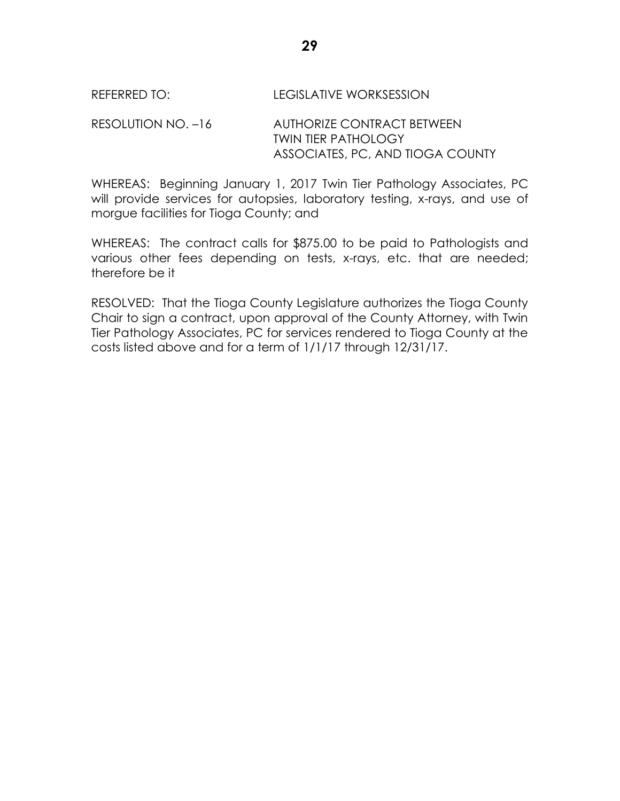### REFERRED TO: LEGISLATIVE WORKSESSION

RESOLUTION NO. –16 AUTHORIZE CONTRACT BETWEEN TWIN TIER PATHOLOGY ASSOCIATES, PC, AND TIOGA COUNTY

WHEREAS: Beginning January 1, 2017 Twin Tier Pathology Associates, PC will provide services for autopsies, laboratory testing, x-rays, and use of morgue facilities for Tioga County; and

WHEREAS: The contract calls for \$875.00 to be paid to Pathologists and various other fees depending on tests, x-rays, etc. that are needed; therefore be it

RESOLVED: That the Tioga County Legislature authorizes the Tioga County Chair to sign a contract, upon approval of the County Attorney, with Twin Tier Pathology Associates, PC for services rendered to Tioga County at the costs listed above and for a term of 1/1/17 through 12/31/17.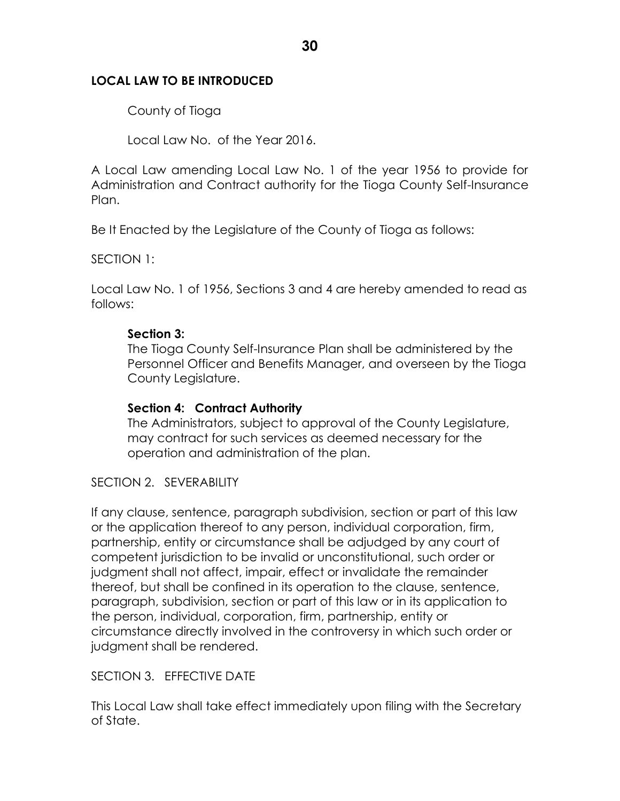### **LOCAL LAW TO BE INTRODUCED**

County of Tioga

Local Law No. of the Year 2016.

A Local Law amending Local Law No. 1 of the year 1956 to provide for Administration and Contract authority for the Tioga County Self-Insurance Plan.

Be It Enacted by the Legislature of the County of Tioga as follows:

SECTION 1:

Local Law No. 1 of 1956, Sections 3 and 4 are hereby amended to read as follows:

### **Section 3:**

The Tioga County Self-Insurance Plan shall be administered by the Personnel Officer and Benefits Manager, and overseen by the Tioga County Legislature.

### **Section 4: Contract Authority**

The Administrators, subject to approval of the County Legislature, may contract for such services as deemed necessary for the operation and administration of the plan.

### SECTION 2. SEVERABILITY

If any clause, sentence, paragraph subdivision, section or part of this law or the application thereof to any person, individual corporation, firm, partnership, entity or circumstance shall be adjudged by any court of competent jurisdiction to be invalid or unconstitutional, such order or judgment shall not affect, impair, effect or invalidate the remainder thereof, but shall be confined in its operation to the clause, sentence, paragraph, subdivision, section or part of this law or in its application to the person, individual, corporation, firm, partnership, entity or circumstance directly involved in the controversy in which such order or judgment shall be rendered.

SECTION 3. EFFECTIVE DATE

This Local Law shall take effect immediately upon filing with the Secretary of State.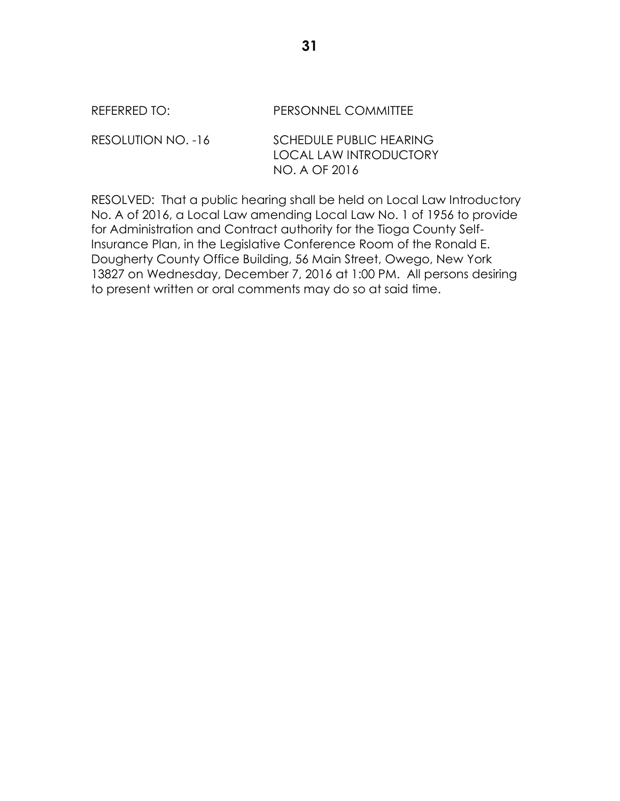| REFERRED TO:       | PERSONNEL COMMITTEE                                                              |
|--------------------|----------------------------------------------------------------------------------|
| RESOLUTION NO. -16 | <b>SCHEDULE PUBLIC HEARING</b><br><b>LOCAL LAW INTRODUCTORY</b><br>NO. A OF 2016 |

RESOLVED: That a public hearing shall be held on Local Law Introductory No. A of 2016, a Local Law amending Local Law No. 1 of 1956 to provide for Administration and Contract authority for the Tioga County Self-Insurance Plan, in the Legislative Conference Room of the Ronald E. Dougherty County Office Building, 56 Main Street, Owego, New York 13827 on Wednesday, December 7, 2016 at 1:00 PM. All persons desiring to present written or oral comments may do so at said time.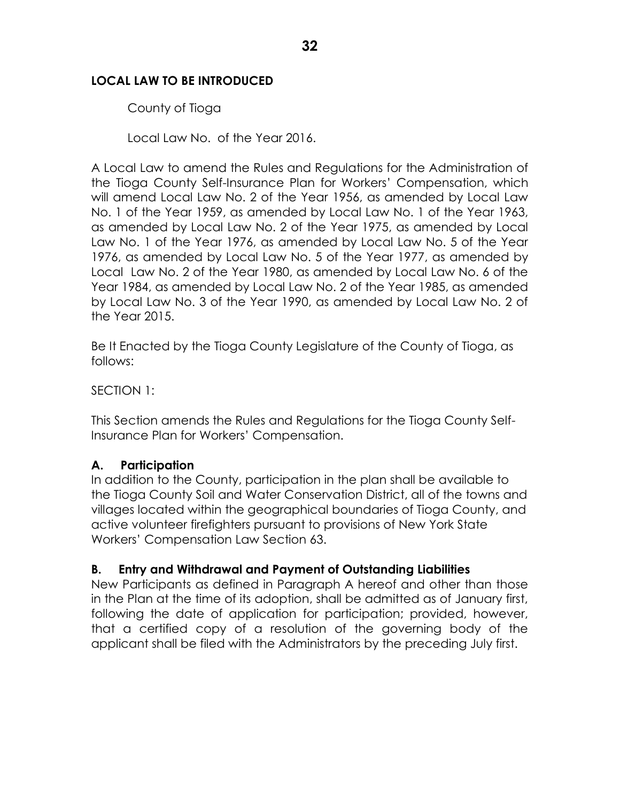## **LOCAL LAW TO BE INTRODUCED**

County of Tioga

Local Law No. of the Year 2016.

A Local Law to amend the Rules and Regulations for the Administration of the Tioga County Self-Insurance Plan for Workers' Compensation, which will amend Local Law No. 2 of the Year 1956, as amended by Local Law No. 1 of the Year 1959, as amended by Local Law No. 1 of the Year 1963, as amended by Local Law No. 2 of the Year 1975, as amended by Local Law No. 1 of the Year 1976, as amended by Local Law No. 5 of the Year 1976, as amended by Local Law No. 5 of the Year 1977, as amended by Local Law No. 2 of the Year 1980, as amended by Local Law No. 6 of the Year 1984, as amended by Local Law No. 2 of the Year 1985, as amended by Local Law No. 3 of the Year 1990, as amended by Local Law No. 2 of the Year 2015.

Be It Enacted by the Tioga County Legislature of the County of Tioga, as follows:

SECTION 1:

This Section amends the Rules and Regulations for the Tioga County Self-Insurance Plan for Workers' Compensation.

## **A. Participation**

In addition to the County, participation in the plan shall be available to the Tioga County Soil and Water Conservation District, all of the towns and villages located within the geographical boundaries of Tioga County, and active volunteer firefighters pursuant to provisions of New York State Workers' Compensation Law Section 63.

### **B. Entry and Withdrawal and Payment of Outstanding Liabilities**

New Participants as defined in Paragraph A hereof and other than those in the Plan at the time of its adoption, shall be admitted as of January first, following the date of application for participation; provided, however, that a certified copy of a resolution of the governing body of the applicant shall be filed with the Administrators by the preceding July first.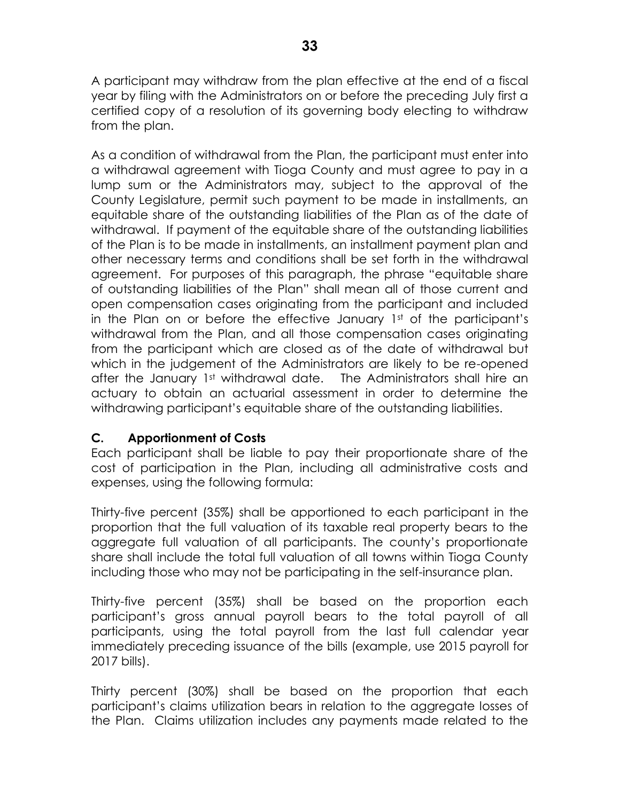A participant may withdraw from the plan effective at the end of a fiscal year by filing with the Administrators on or before the preceding July first a certified copy of a resolution of its governing body electing to withdraw from the plan.

As a condition of withdrawal from the Plan, the participant must enter into a withdrawal agreement with Tioga County and must agree to pay in a lump sum or the Administrators may, subject to the approval of the County Legislature, permit such payment to be made in installments, an equitable share of the outstanding liabilities of the Plan as of the date of withdrawal. If payment of the equitable share of the outstanding liabilities of the Plan is to be made in installments, an installment payment plan and other necessary terms and conditions shall be set forth in the withdrawal agreement. For purposes of this paragraph, the phrase "equitable share of outstanding liabilities of the Plan" shall mean all of those current and open compensation cases originating from the participant and included in the Plan on or before the effective January 1st of the participant's withdrawal from the Plan, and all those compensation cases originating from the participant which are closed as of the date of withdrawal but which in the judgement of the Administrators are likely to be re-opened after the January 1st withdrawal date. The Administrators shall hire an actuary to obtain an actuarial assessment in order to determine the withdrawing participant's equitable share of the outstanding liabilities.

# **C. Apportionment of Costs**

Each participant shall be liable to pay their proportionate share of the cost of participation in the Plan, including all administrative costs and expenses, using the following formula:

Thirty-five percent (35%) shall be apportioned to each participant in the proportion that the full valuation of its taxable real property bears to the aggregate full valuation of all participants. The county's proportionate share shall include the total full valuation of all towns within Tioga County including those who may not be participating in the self-insurance plan.

Thirty-five percent (35%) shall be based on the proportion each participant's gross annual payroll bears to the total payroll of all participants, using the total payroll from the last full calendar year immediately preceding issuance of the bills (example, use 2015 payroll for 2017 bills).

Thirty percent (30%) shall be based on the proportion that each participant's claims utilization bears in relation to the aggregate losses of the Plan. Claims utilization includes any payments made related to the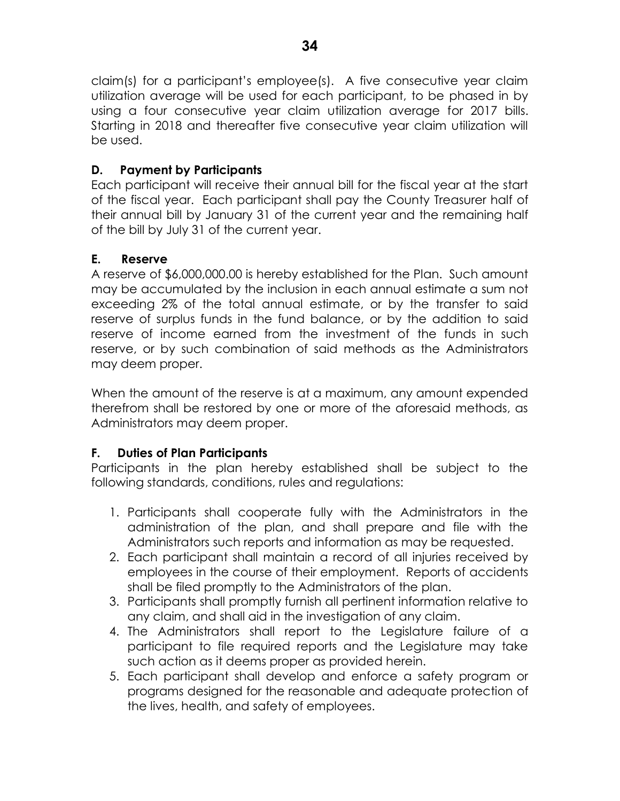claim(s) for a participant's employee(s). A five consecutive year claim utilization average will be used for each participant, to be phased in by using a four consecutive year claim utilization average for 2017 bills. Starting in 2018 and thereafter five consecutive year claim utilization will be used.

# **D. Payment by Participants**

Each participant will receive their annual bill for the fiscal year at the start of the fiscal year. Each participant shall pay the County Treasurer half of their annual bill by January 31 of the current year and the remaining half of the bill by July 31 of the current year.

# **E. Reserve**

A reserve of \$6,000,000.00 is hereby established for the Plan. Such amount may be accumulated by the inclusion in each annual estimate a sum not exceeding 2% of the total annual estimate, or by the transfer to said reserve of surplus funds in the fund balance, or by the addition to said reserve of income earned from the investment of the funds in such reserve, or by such combination of said methods as the Administrators may deem proper.

When the amount of the reserve is at a maximum, any amount expended therefrom shall be restored by one or more of the aforesaid methods, as Administrators may deem proper.

# **F. Duties of Plan Participants**

Participants in the plan hereby established shall be subject to the following standards, conditions, rules and regulations:

- 1. Participants shall cooperate fully with the Administrators in the administration of the plan, and shall prepare and file with the Administrators such reports and information as may be requested.
- 2. Each participant shall maintain a record of all injuries received by employees in the course of their employment. Reports of accidents shall be filed promptly to the Administrators of the plan.
- 3. Participants shall promptly furnish all pertinent information relative to any claim, and shall aid in the investigation of any claim.
- 4. The Administrators shall report to the Legislature failure of a participant to file required reports and the Legislature may take such action as it deems proper as provided herein.
- 5. Each participant shall develop and enforce a safety program or programs designed for the reasonable and adequate protection of the lives, health, and safety of employees.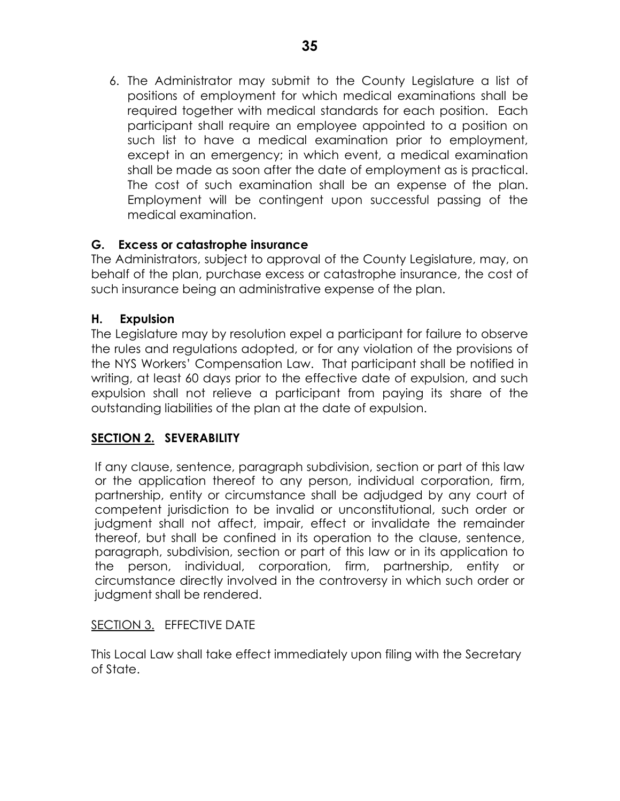6. The Administrator may submit to the County Legislature a list of positions of employment for which medical examinations shall be required together with medical standards for each position. Each participant shall require an employee appointed to a position on such list to have a medical examination prior to employment, except in an emergency; in which event, a medical examination shall be made as soon after the date of employment as is practical. The cost of such examination shall be an expense of the plan. Employment will be contingent upon successful passing of the medical examination.

# **G. Excess or catastrophe insurance**

The Administrators, subject to approval of the County Legislature, may, on behalf of the plan, purchase excess or catastrophe insurance, the cost of such insurance being an administrative expense of the plan.

## **H. Expulsion**

The Legislature may by resolution expel a participant for failure to observe the rules and regulations adopted, or for any violation of the provisions of the NYS Workers' Compensation Law. That participant shall be notified in writing, at least 60 days prior to the effective date of expulsion, and such expulsion shall not relieve a participant from paying its share of the outstanding liabilities of the plan at the date of expulsion.

# **SECTION 2. SEVERABILITY**

If any clause, sentence, paragraph subdivision, section or part of this law or the application thereof to any person, individual corporation, firm, partnership, entity or circumstance shall be adjudged by any court of competent jurisdiction to be invalid or unconstitutional, such order or judgment shall not affect, impair, effect or invalidate the remainder thereof, but shall be confined in its operation to the clause, sentence, paragraph, subdivision, section or part of this law or in its application to the person, individual, corporation, firm, partnership, entity or circumstance directly involved in the controversy in which such order or judgment shall be rendered.

## SECTION 3. EFFECTIVE DATE

This Local Law shall take effect immediately upon filing with the Secretary of State.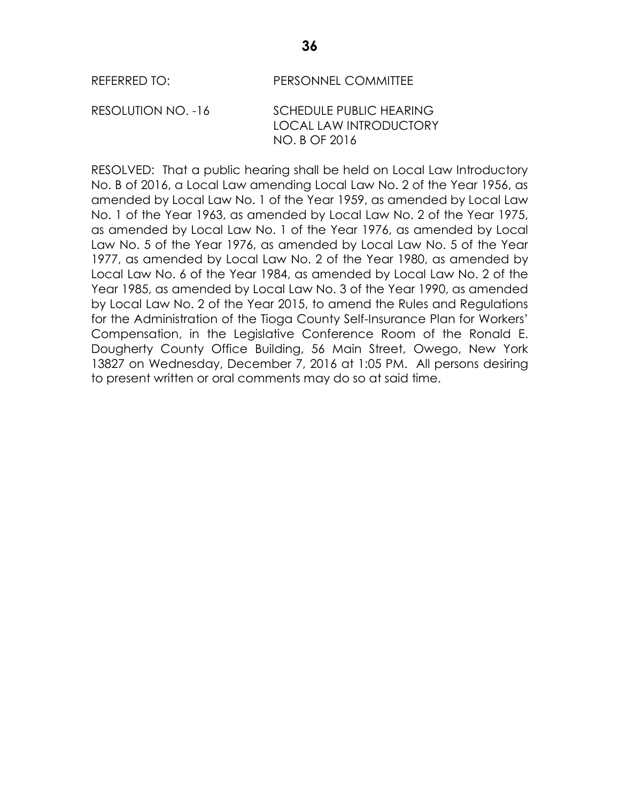#### REFERRED TO: PERSONNEL COMMITTEE

RESOLUTION NO. -16 SCHEDULE PUBLIC HEARING LOCAL LAW INTRODUCTORY NO. B OF 2016

RESOLVED: That a public hearing shall be held on Local Law Introductory No. B of 2016, a Local Law amending Local Law No. 2 of the Year 1956, as amended by Local Law No. 1 of the Year 1959, as amended by Local Law No. 1 of the Year 1963, as amended by Local Law No. 2 of the Year 1975, as amended by Local Law No. 1 of the Year 1976, as amended by Local Law No. 5 of the Year 1976, as amended by Local Law No. 5 of the Year 1977, as amended by Local Law No. 2 of the Year 1980, as amended by Local Law No. 6 of the Year 1984, as amended by Local Law No. 2 of the Year 1985, as amended by Local Law No. 3 of the Year 1990, as amended by Local Law No. 2 of the Year 2015, to amend the Rules and Regulations for the Administration of the Tioga County Self-Insurance Plan for Workers' Compensation, in the Legislative Conference Room of the Ronald E. Dougherty County Office Building, 56 Main Street, Owego, New York 13827 on Wednesday, December 7, 2016 at 1:05 PM. All persons desiring to present written or oral comments may do so at said time.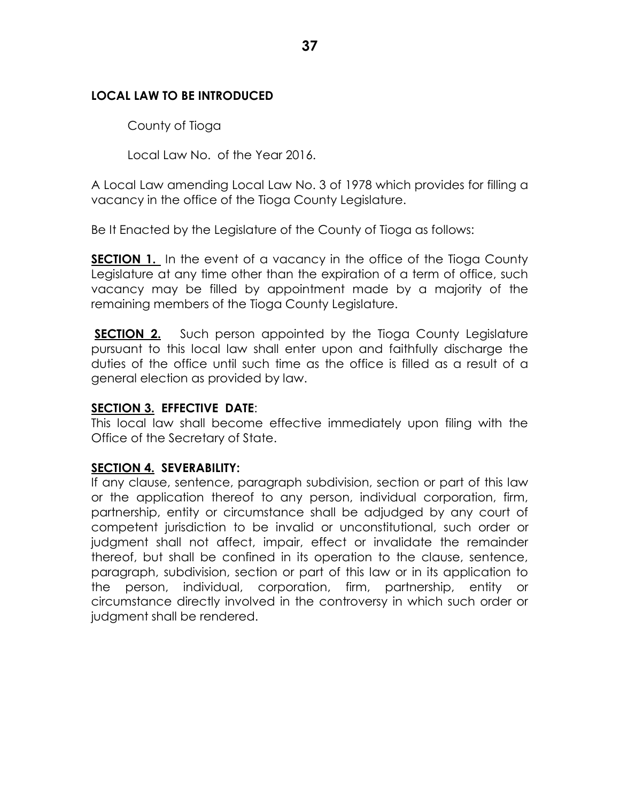## **LOCAL LAW TO BE INTRODUCED**

County of Tioga

Local Law No. of the Year 2016.

A Local Law amending Local Law No. 3 of 1978 which provides for filling a vacancy in the office of the Tioga County Legislature.

Be It Enacted by the Legislature of the County of Tioga as follows:

**SECTION 1.** In the event of a vacancy in the office of the Tioga County Legislature at any time other than the expiration of a term of office, such vacancy may be filled by appointment made by a majority of the remaining members of the Tioga County Legislature.

**SECTION 2.** Such person appointed by the Tioga County Legislature pursuant to this local law shall enter upon and faithfully discharge the duties of the office until such time as the office is filled as a result of a general election as provided by law.

### **SECTION 3. EFFECTIVE DATE**:

This local law shall become effective immediately upon filing with the Office of the Secretary of State.

## **SECTION 4. SEVERABILITY:**

If any clause, sentence, paragraph subdivision, section or part of this law or the application thereof to any person, individual corporation, firm, partnership, entity or circumstance shall be adjudged by any court of competent jurisdiction to be invalid or unconstitutional, such order or judgment shall not affect, impair, effect or invalidate the remainder thereof, but shall be confined in its operation to the clause, sentence, paragraph, subdivision, section or part of this law or in its application to the person, individual, corporation, firm, partnership, entity or circumstance directly involved in the controversy in which such order or judgment shall be rendered.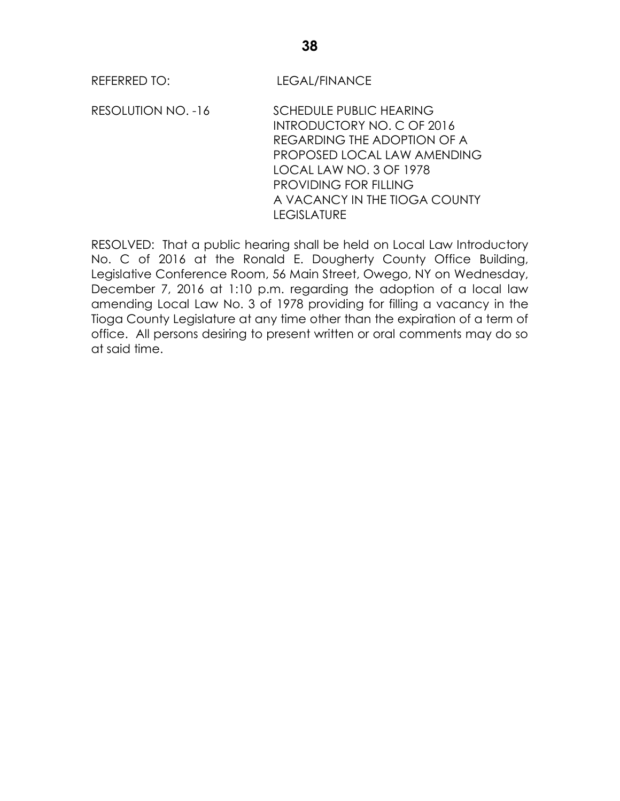REFERRED TO: LEGAL/FINANCE

RESOLUTION NO. -16 SCHEDULE PUBLIC HEARING INTRODUCTORY NO. C OF 2016 REGARDING THE ADOPTION OF A PROPOSED LOCAL LAW AMENDING LOCAL LAW NO. 3 OF 1978 PROVIDING FOR FILLING A VACANCY IN THE TIOGA COUNTY LEGISLATURE

RESOLVED: That a public hearing shall be held on Local Law Introductory No. C of 2016 at the Ronald E. Dougherty County Office Building, Legislative Conference Room, 56 Main Street, Owego, NY on Wednesday, December 7, 2016 at 1:10 p.m. regarding the adoption of a local law amending Local Law No. 3 of 1978 providing for filling a vacancy in the Tioga County Legislature at any time other than the expiration of a term of office. All persons desiring to present written or oral comments may do so at said time.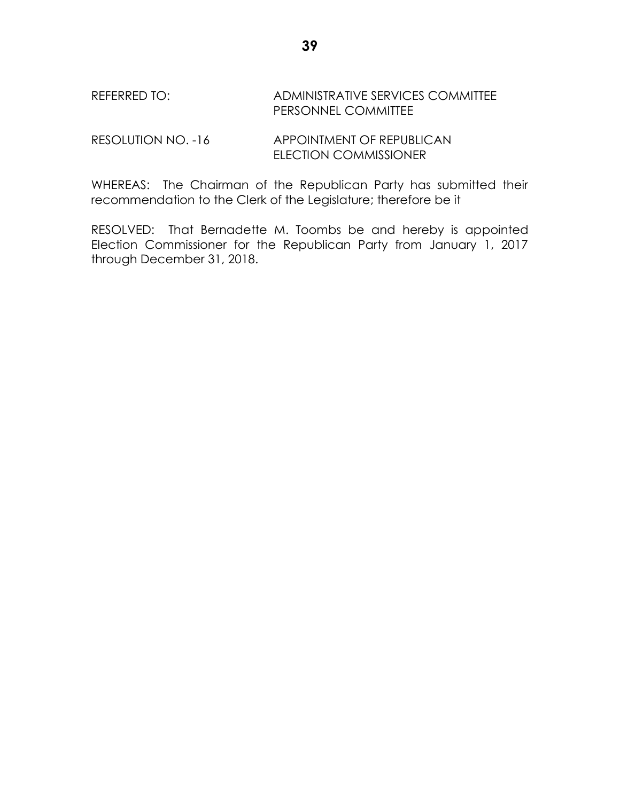# REFERRED TO: ADMINISTRATIVE SERVICES COMMITTEE PERSONNEL COMMITTEE

RESOLUTION NO. -16 APPOINTMENT OF REPUBLICAN ELECTION COMMISSIONER

WHEREAS: The Chairman of the Republican Party has submitted their recommendation to the Clerk of the Legislature; therefore be it

RESOLVED: That Bernadette M. Toombs be and hereby is appointed Election Commissioner for the Republican Party from January 1, 2017 through December 31, 2018.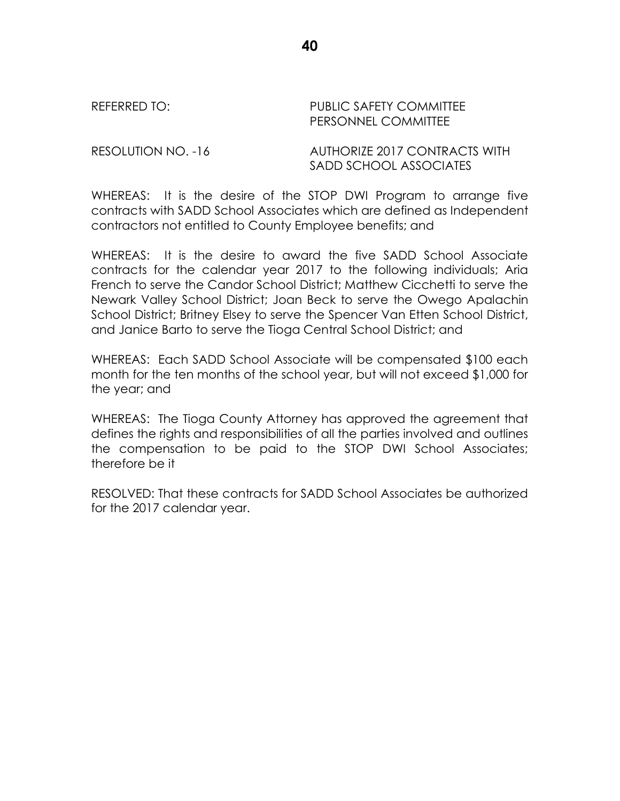REFERRED TO: The PUBLIC SAFETY COMMITTEE PERSONNEL COMMITTEE

RESOLUTION NO. -16 AUTHORIZE 2017 CONTRACTS WITH SADD SCHOOL ASSOCIATES

WHEREAS: It is the desire of the STOP DWI Program to arrange five contracts with SADD School Associates which are defined as Independent contractors not entitled to County Employee benefits; and

WHEREAS: It is the desire to award the five SADD School Associate contracts for the calendar year 2017 to the following individuals; Aria French to serve the Candor School District; Matthew Cicchetti to serve the Newark Valley School District; Joan Beck to serve the Owego Apalachin School District; Britney Elsey to serve the Spencer Van Etten School District, and Janice Barto to serve the Tioga Central School District; and

WHEREAS: Each SADD School Associate will be compensated \$100 each month for the ten months of the school year, but will not exceed \$1,000 for the year; and

WHEREAS: The Tioga County Attorney has approved the agreement that defines the rights and responsibilities of all the parties involved and outlines the compensation to be paid to the STOP DWI School Associates; therefore be it

RESOLVED: That these contracts for SADD School Associates be authorized for the 2017 calendar year.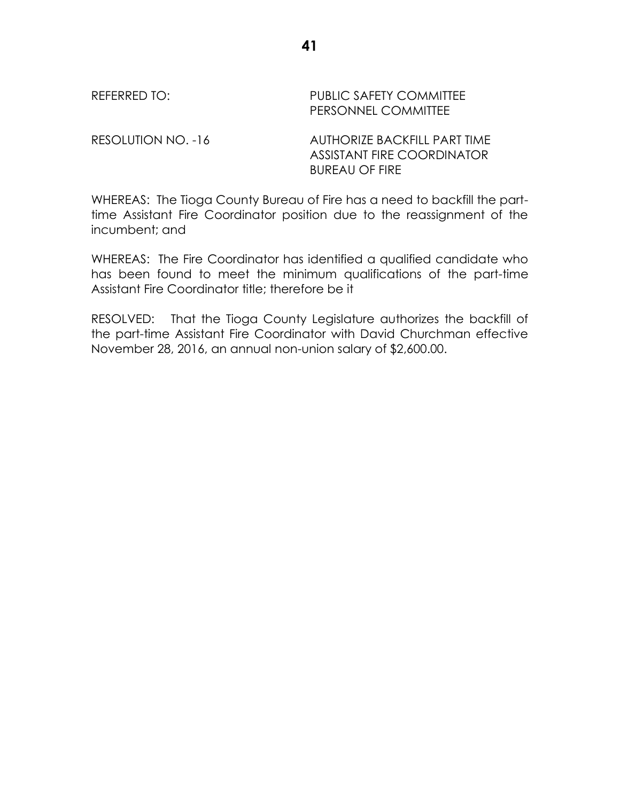| REFERRED TO: | <b>PUBLIC SAFETY COMMITTEE</b><br>PERSONNEL COMMITTEE      |
|--------------|------------------------------------------------------------|
| $D = 2$      | $\lambda$ LITLIO DI 7F B $\lambda$ Olitics B $\lambda$ DT. |

RESOLUTION NO. -16 AUTHORIZE BACKFILL PART TIME ASSISTANT FIRE COORDINATOR BUREAU OF FIRE

WHEREAS: The Tioga County Bureau of Fire has a need to backfill the parttime Assistant Fire Coordinator position due to the reassignment of the incumbent; and

WHEREAS: The Fire Coordinator has identified a qualified candidate who has been found to meet the minimum qualifications of the part-time Assistant Fire Coordinator title; therefore be it

RESOLVED: That the Tioga County Legislature authorizes the backfill of the part-time Assistant Fire Coordinator with David Churchman effective November 28, 2016, an annual non-union salary of \$2,600.00.